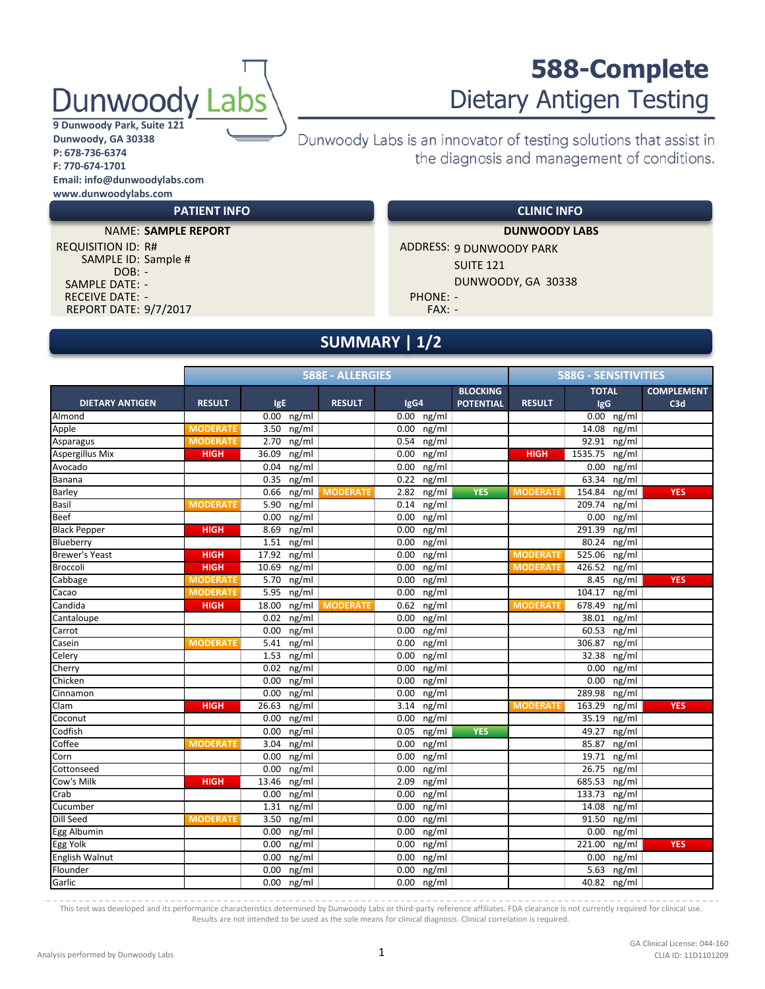## Dunwoody

#### **9 Dunwoody Park, Suite 121 Dunwoody, GA 30338 P: 678-736-6374 F: 770-674-1701 Email: info@dunwoodylabs.com www.dunwoodylabs.com**

## Dietary Antigen Testing Dunwoody Labs is an innovator of testing solutions that assist in the diagnosis and management of conditions.

**CLINIC INFO**

**588-Complete**

**NAME: SAMPLE REPORT** 

**PATIENT INFO**

REPORT DATE: 9/7/2017 **FAX: -** FAX: -SAMPLE DATE: - RECEIVE DATE: SAMPLE ID: Sample # DOB: - - PHONE: -

REQUISITION ID: R# ADDRESS: 9 DUNWOODY PARK SUITE 121 DUNWOODY, GA 30338 **SAMPLE REPORT DUNWOODY LABS**

## **SUMMARY | 1/2**

|                        |                 |                   | <b>588E - ALLERGIES</b> |               |                                     |                 | <b>588G - SENSITIVITIES</b> |                          |
|------------------------|-----------------|-------------------|-------------------------|---------------|-------------------------------------|-----------------|-----------------------------|--------------------------|
| <b>DIETARY ANTIGEN</b> | <b>RESULT</b>   | IgE               | <b>RESULT</b>           | IgG4          | <b>BLOCKING</b><br><b>POTENTIAL</b> | <b>RESULT</b>   | <b>TOTAL</b><br><b>IgG</b>  | <b>COMPLEMENT</b><br>C3d |
| Almond                 |                 | $0.00$ ng/ml      |                         | $0.00$ ng/ml  |                                     |                 | $0.00$ ng/ml                |                          |
| Apple                  | <b>MODERATE</b> | 3.50 ng/ml        |                         | 0.00<br>ng/ml |                                     |                 | $14.08$ ng/ml               |                          |
| Asparagus              | <b>MODERATE</b> | $2.70$ ng/ml      |                         | $0.54$ ng/ml  |                                     |                 | 92.91 ng/ml                 |                          |
| <b>Aspergillus Mix</b> | <b>HIGH</b>     | 36.09 ng/ml       |                         | 0.00<br>ng/ml |                                     | <b>HIGH</b>     | 1535.75<br>ng/ml            |                          |
| Avocado                |                 | ng/ml<br>0.04     |                         | ng/ml<br>0.00 |                                     |                 | ng/ml<br>0.00               |                          |
| Banana                 |                 | 0.35<br>ng/ml     |                         | 0.22<br>ng/ml |                                     |                 | 63.34<br>ng/ml              |                          |
| Barley                 |                 | ng/ml<br>0.66     | <b>MODERATE</b>         | ng/ml<br>2.82 | <b>YES</b>                          | <b>MODERATE</b> | ng/ml<br>154.84             | <b>YES</b>               |
| Basil                  | <b>MODERATE</b> | ng/ml<br>5.90     |                         | ng/ml<br>0.14 |                                     |                 | ng/ml<br>209.74             |                          |
| Beef                   |                 | ng/ml<br>0.00     |                         | 0.00<br>ng/ml |                                     |                 | ng/ml<br>0.00               |                          |
| <b>Black Pepper</b>    | <b>HIGH</b>     | 8.69<br>ng/ml     |                         | ng/ml<br>0.00 |                                     |                 | 291.39<br>ng/ml             |                          |
| Blueberry              |                 | 1.51 ng/ml        |                         | ng/ml<br>0.00 |                                     |                 | ng/ml<br>80.24              |                          |
| <b>Brewer's Yeast</b>  | <b>HIGH</b>     | ng/ml<br>17.92    |                         | ng/ml<br>0.00 |                                     | <b>MODERATE</b> | 525.06<br>ng/ml             |                          |
| Broccoli               | <b>HIGH</b>     | 10.69 ng/ml       |                         | 0.00<br>ng/ml |                                     | <b>MODERATE</b> | 426.52<br>ng/ml             |                          |
| Cabbage                | <b>MODERATE</b> | ng/ml<br>5.70     |                         | ng/ml<br>0.00 |                                     |                 | 8.45<br>ng/ml               | <b>YES</b>               |
| Cacao                  | <b>MODERATE</b> | ng/ml<br>5.95     |                         | ng/ml<br>0.00 |                                     |                 | 104.17<br>ng/ml             |                          |
| Candida                | <b>HIGH</b>     | ng/ml<br>18.00    | <b>MODERATE</b>         | ng/ml<br>0.62 |                                     | <b>MODERATE</b> | 678.49<br>ng/ml             |                          |
| Cantaloupe             |                 | ng/ml<br>0.02     |                         | 0.00<br>ng/ml |                                     |                 | ng/ml<br>38.01              |                          |
| Carrot                 |                 | 0.00<br>ng/ml     |                         | 0.00<br>ng/ml |                                     |                 | 60.53<br>ng/ml              |                          |
| Casein                 | <b>MODERATE</b> | ng/ml<br>5.41     |                         | 0.00<br>ng/ml |                                     |                 | 306.87<br>ng/ml             |                          |
| Celery                 |                 | ng/ml<br>1.53     |                         | ng/ml<br>0.00 |                                     |                 | 32.38<br>ng/ml              |                          |
| Cherry                 |                 | 0.02<br>ng/ml     |                         | ng/ml<br>0.00 |                                     |                 | ng/ml<br>0.00               |                          |
| Chicken                |                 | ng/ml<br>0.00     |                         | ng/ml<br>0.00 |                                     |                 | ng/ml<br>0.00               |                          |
| Cinnamon               |                 | $0.00$ ng/ml      |                         | 0.00<br>ng/ml |                                     |                 | 289.98<br>ng/ml             |                          |
| Clam                   | <b>HIGH</b>     | 26.63 ng/ml       |                         | ng/ml<br>3.14 |                                     | <b>MODERATE</b> | 163.29<br>ng/ml             | <b>YES</b>               |
| Coconut                |                 | ng/ml<br>0.00     |                         | ng/ml<br>0.00 |                                     |                 | ng/ml<br>35.19              |                          |
| Codfish                |                 | ng/ml<br>0.00     |                         | ng/ml<br>0.05 | <b>YES</b>                          |                 | 49.27<br>ng/ml              |                          |
| Coffee                 | <b>MODERATE</b> | ng/ml<br>3.04     |                         | 0.00<br>ng/ml |                                     |                 | ng/ml<br>85.87              |                          |
| Corn                   |                 | 0.00<br>ng/ml     |                         | 0.00<br>ng/ml |                                     |                 | 19.71<br>ng/ml              |                          |
| Cottonseed             |                 | 0.00<br>ng/ml     |                         | ng/ml<br>0.00 |                                     |                 | 26.75<br>ng/ml              |                          |
| Cow's Milk             | <b>HIGH</b>     | 13.46<br>ng/ml    |                         | 2.09<br>ng/ml |                                     |                 | 685.53<br>ng/ml             |                          |
| Crab                   |                 | $0.00$ ng/ml      |                         | ng/ml<br>0.00 |                                     |                 | ng/ml<br>133.73             |                          |
| Cucumber               |                 | ng/ml<br>1.31     |                         | ng/ml<br>0.00 |                                     |                 | ng/ml<br>14.08              |                          |
| Dill Seed              | <b>MODERATE</b> | 3.50<br>ng/ml     |                         | ng/ml<br>0.00 |                                     |                 | 91.50<br>ng/ml              |                          |
| Egg Albumin            |                 | 0.00<br>ng/ml     |                         | ng/ml<br>0.00 |                                     |                 | 0.00<br>ng/ml               |                          |
| Egg Yolk               |                 | ng/ml<br>0.00     |                         | 0.00<br>ng/ml |                                     |                 | 221.00<br>ng/ml             | <b>YES</b>               |
| <b>English Walnut</b>  |                 | ng/ml<br>0.00     |                         | 0.00<br>ng/ml |                                     |                 | ng/ml<br>0.00               |                          |
| Flounder               |                 | ng/ml<br>$0.00\,$ |                         | 0.00<br>ng/ml |                                     |                 | 5.63<br>ng/ml               |                          |
| Garlic                 |                 | $0.00$ ng/ml      |                         | $0.00$ ng/ml  |                                     |                 | 40.82 ng/ml                 |                          |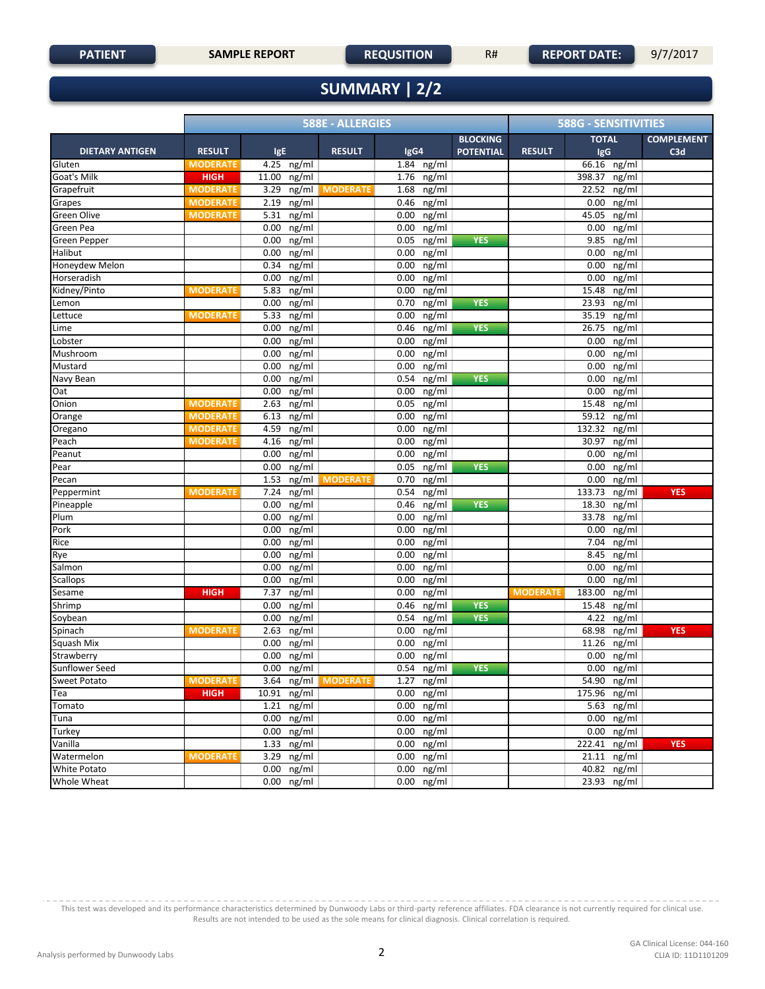## **SUMMARY | 2/2**

| <b>COMPLEMENT</b><br><b>BLOCKING</b><br><b>TOTAL</b><br><b>RESULT</b><br><b>DIETARY ANTIGEN</b><br><b>RESULT</b><br>IgE<br><b>RESULT</b><br>IgG4<br><b>POTENTIAL</b><br><b>IgG</b><br>C3d<br>$66.16$ ng/ml<br>Gluten<br>4.25 ng/ml<br>1.84 ng/ml<br><b>MODERATE</b><br>Goat's Milk<br>$11.00$ ng/ml<br>$1.76$ ng/ml<br>398.37<br><b>HIGH</b><br>ng/ml<br>Grapefruit<br>3.29 ng/ml MODERATE<br>1.68 ng/ml<br>22.52<br>ng/ml<br><b>MODERATE</b><br>2.19 ng/ml<br>0.46 ng/ml<br>$\overline{\mathsf{ng}/\mathsf{ml}}$<br>Grapes<br><b>MODERATE</b><br>0.00<br>Green Olive<br>$5.31$ ng/ml<br>45.05<br><b>MODERATE</b><br>$0.00$ ng/ml<br>ng/ml<br>Green Pea<br>$0.00$ ng/ml<br>$0.00$ ng/ml<br>0.00<br>ng/ml<br>$0.00$ ng/ml<br>$0.05$ ng/ml<br><b>YES</b><br>9.85<br>ng/ml<br><b>Green Pepper</b><br>Halibut<br>$0.00$ ng/ml<br>$0.00$ ng/ml<br>0.00<br>ng/ml<br>Honeydew Melon<br>$0.34$ ng/ml<br>$0.00$ ng/ml<br>0.00<br>ng/ml<br>0.00<br>Horseradish<br>$0.00$ ng/ml<br>$0.00$ ng/ml<br>ng/ml<br>Kidney/Pinto<br>5.83 ng/ml<br>$0.00$ ng/ml<br>15.48<br>ng/ml<br><b>MODERATE</b><br>$0.00$ ng/ml<br>$0.70$ ng/ml<br><b>YES</b><br>ng/ml<br>23.93<br>Lemon<br>5.33 ng/ml<br>35.19<br>Lettuce<br><b>MODERATE</b><br>$0.00$ ng/ml<br>ng/ml<br>$0.00$ ng/ml<br>ng/ml<br>$0.46$ ng/ml<br><b>YES</b><br>26.75<br>Lime<br>$0.00$ ng/ml<br>$0.00$ ng/ml<br>ng/ml<br>0.00<br>Lobster<br>$0.00$ ng/ml<br>$0.00$ ng/ml<br>Mushroom<br>0.00<br>ng/ml<br>Mustard<br>$0.00$ ng/ml<br>$0.00$ ng/ml<br>0.00<br>$n\sqrt{g/ml}$<br>ng/ml<br>Navy Bean<br>$0.00$ ng/ml<br>0.54<br>ng/ml<br><b>YES</b><br>0.00<br>$0.00$ ng/ml<br>$0.00$ ng/ml<br>ng/ml<br>Oat<br>0.00<br>Onion<br>$2.63$ ng/ml<br>$0.05$ ng/ml<br>15.48<br>ng/ml<br><b>MODERATE</b><br>Orange<br>$6.13$ ng/ml<br>$0.00$ ng/ml<br>59.12<br>ng/ml<br><b>MODERATE</b><br>$0.00$ ng/ml<br><b>MODERATE</b><br>4.59 ng/ml<br>132.32<br>ng/ml<br>Oregano<br>Peach<br>4.16 ng/ml<br>0.00<br>ng/ml<br>30.97<br><b>MODERATE</b><br>ng/ml<br>$0.00$ ng/ml<br>Peanut<br>0.00<br>ng/ml<br>0.00<br>ng/ml<br>$0.05$ ng/ml<br>$0.00$ ng/ml<br><b>YES</b><br>0.00<br>ng/ml<br>Pear<br>1.53 ng/ml MODERATE<br>$0.70$ ng/ml<br>0.00<br>ng/ml<br>Pecan<br>7.24 ng/ml<br>0.54<br>ng/ml<br>133.73<br>Peppermint<br>ng/ml<br><b>YES</b><br><b>MODERATE</b><br>Pineapple<br>$0.00$ ng/ml<br>$0.46$ ng/ml<br><b>YES</b><br>18.30<br>ng/ml<br>Plum<br>$0.00$ ng/ml<br>$0.00$ ng/ml<br>ng/ml<br>33.78<br>Pork<br>$0.00$ ng/ml<br>$0.00$ ng/ml<br>0.00<br>ng/ml<br>$0.00$ ng/ml<br>$0.00$ ng/ml<br>7.04<br>ng/ml<br>Rice<br>$0.00$ ng/ml<br>$0.00$ ng/ml<br>8.45<br>ng/ml<br>Rye<br>Salmon<br>$0.00$ ng/ml<br>$0.00$ ng/ml<br>0.00<br>ng/ml<br>$0.00$ ng/ml<br>$0.00$ ng/ml<br>0.00<br>ng/ml<br><b>Scallops</b><br>183.00<br>Sesame<br><b>HIGH</b><br>7.37 ng/ml<br>$0.00$ ng/ml<br><b>MODERATE</b><br>ng/ml<br>Shrimp<br>$0.00$ ng/ml<br>$0.46$ ng/ml<br><b>YES</b><br>15.48<br>ng/ml<br>$0.00$ ng/ml<br>$0.54$ ng/ml<br>Soybean<br><b>YES</b><br>4.22<br>ng/ml<br>68.98<br><b>YES</b><br>Spinach<br><b>MODERATE</b><br>2.63 ng/ml<br>$0.00$ ng/ml<br>ng/ml<br>$0.00$ ng/ml<br>ng/ml<br>Squash Mix<br>$0.00$ ng/ml<br>11.26<br>$0.00$ ng/ml<br>Strawberry<br>$0.00$ ng/ml<br>0.00<br>ng/ml<br>Sunflower Seed<br>$0.00$ ng/ml<br>$0.54$ ng/ml<br><b>YES</b><br>$\overline{0.00}$ ng/ml<br>3.64 ng/ml MODERATE |              |                 | <b>588E - ALLERGIES</b> |              |  | <b>588G - SENSITIVITIES</b> |  |
|--------------------------------------------------------------------------------------------------------------------------------------------------------------------------------------------------------------------------------------------------------------------------------------------------------------------------------------------------------------------------------------------------------------------------------------------------------------------------------------------------------------------------------------------------------------------------------------------------------------------------------------------------------------------------------------------------------------------------------------------------------------------------------------------------------------------------------------------------------------------------------------------------------------------------------------------------------------------------------------------------------------------------------------------------------------------------------------------------------------------------------------------------------------------------------------------------------------------------------------------------------------------------------------------------------------------------------------------------------------------------------------------------------------------------------------------------------------------------------------------------------------------------------------------------------------------------------------------------------------------------------------------------------------------------------------------------------------------------------------------------------------------------------------------------------------------------------------------------------------------------------------------------------------------------------------------------------------------------------------------------------------------------------------------------------------------------------------------------------------------------------------------------------------------------------------------------------------------------------------------------------------------------------------------------------------------------------------------------------------------------------------------------------------------------------------------------------------------------------------------------------------------------------------------------------------------------------------------------------------------------------------------------------------------------------------------------------------------------------------------------------------------------------------------------------------------------------------------------------------------------------------------------------------------------------------------------------------------------------------------------------------------------------------------------------------------------------------------------------------------------------------------------------------------------------------------------------------------------------------------------------------------------------------------------------------------------------|--------------|-----------------|-------------------------|--------------|--|-----------------------------|--|
|                                                                                                                                                                                                                                                                                                                                                                                                                                                                                                                                                                                                                                                                                                                                                                                                                                                                                                                                                                                                                                                                                                                                                                                                                                                                                                                                                                                                                                                                                                                                                                                                                                                                                                                                                                                                                                                                                                                                                                                                                                                                                                                                                                                                                                                                                                                                                                                                                                                                                                                                                                                                                                                                                                                                                                                                                                                                                                                                                                                                                                                                                                                                                                                                                                                                                                                                |              |                 |                         |              |  |                             |  |
|                                                                                                                                                                                                                                                                                                                                                                                                                                                                                                                                                                                                                                                                                                                                                                                                                                                                                                                                                                                                                                                                                                                                                                                                                                                                                                                                                                                                                                                                                                                                                                                                                                                                                                                                                                                                                                                                                                                                                                                                                                                                                                                                                                                                                                                                                                                                                                                                                                                                                                                                                                                                                                                                                                                                                                                                                                                                                                                                                                                                                                                                                                                                                                                                                                                                                                                                |              |                 |                         |              |  |                             |  |
|                                                                                                                                                                                                                                                                                                                                                                                                                                                                                                                                                                                                                                                                                                                                                                                                                                                                                                                                                                                                                                                                                                                                                                                                                                                                                                                                                                                                                                                                                                                                                                                                                                                                                                                                                                                                                                                                                                                                                                                                                                                                                                                                                                                                                                                                                                                                                                                                                                                                                                                                                                                                                                                                                                                                                                                                                                                                                                                                                                                                                                                                                                                                                                                                                                                                                                                                |              |                 |                         |              |  |                             |  |
|                                                                                                                                                                                                                                                                                                                                                                                                                                                                                                                                                                                                                                                                                                                                                                                                                                                                                                                                                                                                                                                                                                                                                                                                                                                                                                                                                                                                                                                                                                                                                                                                                                                                                                                                                                                                                                                                                                                                                                                                                                                                                                                                                                                                                                                                                                                                                                                                                                                                                                                                                                                                                                                                                                                                                                                                                                                                                                                                                                                                                                                                                                                                                                                                                                                                                                                                |              |                 |                         |              |  |                             |  |
|                                                                                                                                                                                                                                                                                                                                                                                                                                                                                                                                                                                                                                                                                                                                                                                                                                                                                                                                                                                                                                                                                                                                                                                                                                                                                                                                                                                                                                                                                                                                                                                                                                                                                                                                                                                                                                                                                                                                                                                                                                                                                                                                                                                                                                                                                                                                                                                                                                                                                                                                                                                                                                                                                                                                                                                                                                                                                                                                                                                                                                                                                                                                                                                                                                                                                                                                |              |                 |                         |              |  |                             |  |
|                                                                                                                                                                                                                                                                                                                                                                                                                                                                                                                                                                                                                                                                                                                                                                                                                                                                                                                                                                                                                                                                                                                                                                                                                                                                                                                                                                                                                                                                                                                                                                                                                                                                                                                                                                                                                                                                                                                                                                                                                                                                                                                                                                                                                                                                                                                                                                                                                                                                                                                                                                                                                                                                                                                                                                                                                                                                                                                                                                                                                                                                                                                                                                                                                                                                                                                                |              |                 |                         |              |  |                             |  |
|                                                                                                                                                                                                                                                                                                                                                                                                                                                                                                                                                                                                                                                                                                                                                                                                                                                                                                                                                                                                                                                                                                                                                                                                                                                                                                                                                                                                                                                                                                                                                                                                                                                                                                                                                                                                                                                                                                                                                                                                                                                                                                                                                                                                                                                                                                                                                                                                                                                                                                                                                                                                                                                                                                                                                                                                                                                                                                                                                                                                                                                                                                                                                                                                                                                                                                                                |              |                 |                         |              |  |                             |  |
|                                                                                                                                                                                                                                                                                                                                                                                                                                                                                                                                                                                                                                                                                                                                                                                                                                                                                                                                                                                                                                                                                                                                                                                                                                                                                                                                                                                                                                                                                                                                                                                                                                                                                                                                                                                                                                                                                                                                                                                                                                                                                                                                                                                                                                                                                                                                                                                                                                                                                                                                                                                                                                                                                                                                                                                                                                                                                                                                                                                                                                                                                                                                                                                                                                                                                                                                |              |                 |                         |              |  |                             |  |
|                                                                                                                                                                                                                                                                                                                                                                                                                                                                                                                                                                                                                                                                                                                                                                                                                                                                                                                                                                                                                                                                                                                                                                                                                                                                                                                                                                                                                                                                                                                                                                                                                                                                                                                                                                                                                                                                                                                                                                                                                                                                                                                                                                                                                                                                                                                                                                                                                                                                                                                                                                                                                                                                                                                                                                                                                                                                                                                                                                                                                                                                                                                                                                                                                                                                                                                                |              |                 |                         |              |  |                             |  |
|                                                                                                                                                                                                                                                                                                                                                                                                                                                                                                                                                                                                                                                                                                                                                                                                                                                                                                                                                                                                                                                                                                                                                                                                                                                                                                                                                                                                                                                                                                                                                                                                                                                                                                                                                                                                                                                                                                                                                                                                                                                                                                                                                                                                                                                                                                                                                                                                                                                                                                                                                                                                                                                                                                                                                                                                                                                                                                                                                                                                                                                                                                                                                                                                                                                                                                                                |              |                 |                         |              |  |                             |  |
|                                                                                                                                                                                                                                                                                                                                                                                                                                                                                                                                                                                                                                                                                                                                                                                                                                                                                                                                                                                                                                                                                                                                                                                                                                                                                                                                                                                                                                                                                                                                                                                                                                                                                                                                                                                                                                                                                                                                                                                                                                                                                                                                                                                                                                                                                                                                                                                                                                                                                                                                                                                                                                                                                                                                                                                                                                                                                                                                                                                                                                                                                                                                                                                                                                                                                                                                |              |                 |                         |              |  |                             |  |
|                                                                                                                                                                                                                                                                                                                                                                                                                                                                                                                                                                                                                                                                                                                                                                                                                                                                                                                                                                                                                                                                                                                                                                                                                                                                                                                                                                                                                                                                                                                                                                                                                                                                                                                                                                                                                                                                                                                                                                                                                                                                                                                                                                                                                                                                                                                                                                                                                                                                                                                                                                                                                                                                                                                                                                                                                                                                                                                                                                                                                                                                                                                                                                                                                                                                                                                                |              |                 |                         |              |  |                             |  |
|                                                                                                                                                                                                                                                                                                                                                                                                                                                                                                                                                                                                                                                                                                                                                                                                                                                                                                                                                                                                                                                                                                                                                                                                                                                                                                                                                                                                                                                                                                                                                                                                                                                                                                                                                                                                                                                                                                                                                                                                                                                                                                                                                                                                                                                                                                                                                                                                                                                                                                                                                                                                                                                                                                                                                                                                                                                                                                                                                                                                                                                                                                                                                                                                                                                                                                                                |              |                 |                         |              |  |                             |  |
|                                                                                                                                                                                                                                                                                                                                                                                                                                                                                                                                                                                                                                                                                                                                                                                                                                                                                                                                                                                                                                                                                                                                                                                                                                                                                                                                                                                                                                                                                                                                                                                                                                                                                                                                                                                                                                                                                                                                                                                                                                                                                                                                                                                                                                                                                                                                                                                                                                                                                                                                                                                                                                                                                                                                                                                                                                                                                                                                                                                                                                                                                                                                                                                                                                                                                                                                |              |                 |                         |              |  |                             |  |
|                                                                                                                                                                                                                                                                                                                                                                                                                                                                                                                                                                                                                                                                                                                                                                                                                                                                                                                                                                                                                                                                                                                                                                                                                                                                                                                                                                                                                                                                                                                                                                                                                                                                                                                                                                                                                                                                                                                                                                                                                                                                                                                                                                                                                                                                                                                                                                                                                                                                                                                                                                                                                                                                                                                                                                                                                                                                                                                                                                                                                                                                                                                                                                                                                                                                                                                                |              |                 |                         |              |  |                             |  |
|                                                                                                                                                                                                                                                                                                                                                                                                                                                                                                                                                                                                                                                                                                                                                                                                                                                                                                                                                                                                                                                                                                                                                                                                                                                                                                                                                                                                                                                                                                                                                                                                                                                                                                                                                                                                                                                                                                                                                                                                                                                                                                                                                                                                                                                                                                                                                                                                                                                                                                                                                                                                                                                                                                                                                                                                                                                                                                                                                                                                                                                                                                                                                                                                                                                                                                                                |              |                 |                         |              |  |                             |  |
|                                                                                                                                                                                                                                                                                                                                                                                                                                                                                                                                                                                                                                                                                                                                                                                                                                                                                                                                                                                                                                                                                                                                                                                                                                                                                                                                                                                                                                                                                                                                                                                                                                                                                                                                                                                                                                                                                                                                                                                                                                                                                                                                                                                                                                                                                                                                                                                                                                                                                                                                                                                                                                                                                                                                                                                                                                                                                                                                                                                                                                                                                                                                                                                                                                                                                                                                |              |                 |                         |              |  |                             |  |
|                                                                                                                                                                                                                                                                                                                                                                                                                                                                                                                                                                                                                                                                                                                                                                                                                                                                                                                                                                                                                                                                                                                                                                                                                                                                                                                                                                                                                                                                                                                                                                                                                                                                                                                                                                                                                                                                                                                                                                                                                                                                                                                                                                                                                                                                                                                                                                                                                                                                                                                                                                                                                                                                                                                                                                                                                                                                                                                                                                                                                                                                                                                                                                                                                                                                                                                                |              |                 |                         |              |  |                             |  |
|                                                                                                                                                                                                                                                                                                                                                                                                                                                                                                                                                                                                                                                                                                                                                                                                                                                                                                                                                                                                                                                                                                                                                                                                                                                                                                                                                                                                                                                                                                                                                                                                                                                                                                                                                                                                                                                                                                                                                                                                                                                                                                                                                                                                                                                                                                                                                                                                                                                                                                                                                                                                                                                                                                                                                                                                                                                                                                                                                                                                                                                                                                                                                                                                                                                                                                                                |              |                 |                         |              |  |                             |  |
|                                                                                                                                                                                                                                                                                                                                                                                                                                                                                                                                                                                                                                                                                                                                                                                                                                                                                                                                                                                                                                                                                                                                                                                                                                                                                                                                                                                                                                                                                                                                                                                                                                                                                                                                                                                                                                                                                                                                                                                                                                                                                                                                                                                                                                                                                                                                                                                                                                                                                                                                                                                                                                                                                                                                                                                                                                                                                                                                                                                                                                                                                                                                                                                                                                                                                                                                |              |                 |                         |              |  |                             |  |
|                                                                                                                                                                                                                                                                                                                                                                                                                                                                                                                                                                                                                                                                                                                                                                                                                                                                                                                                                                                                                                                                                                                                                                                                                                                                                                                                                                                                                                                                                                                                                                                                                                                                                                                                                                                                                                                                                                                                                                                                                                                                                                                                                                                                                                                                                                                                                                                                                                                                                                                                                                                                                                                                                                                                                                                                                                                                                                                                                                                                                                                                                                                                                                                                                                                                                                                                |              |                 |                         |              |  |                             |  |
|                                                                                                                                                                                                                                                                                                                                                                                                                                                                                                                                                                                                                                                                                                                                                                                                                                                                                                                                                                                                                                                                                                                                                                                                                                                                                                                                                                                                                                                                                                                                                                                                                                                                                                                                                                                                                                                                                                                                                                                                                                                                                                                                                                                                                                                                                                                                                                                                                                                                                                                                                                                                                                                                                                                                                                                                                                                                                                                                                                                                                                                                                                                                                                                                                                                                                                                                |              |                 |                         |              |  |                             |  |
|                                                                                                                                                                                                                                                                                                                                                                                                                                                                                                                                                                                                                                                                                                                                                                                                                                                                                                                                                                                                                                                                                                                                                                                                                                                                                                                                                                                                                                                                                                                                                                                                                                                                                                                                                                                                                                                                                                                                                                                                                                                                                                                                                                                                                                                                                                                                                                                                                                                                                                                                                                                                                                                                                                                                                                                                                                                                                                                                                                                                                                                                                                                                                                                                                                                                                                                                |              |                 |                         |              |  |                             |  |
|                                                                                                                                                                                                                                                                                                                                                                                                                                                                                                                                                                                                                                                                                                                                                                                                                                                                                                                                                                                                                                                                                                                                                                                                                                                                                                                                                                                                                                                                                                                                                                                                                                                                                                                                                                                                                                                                                                                                                                                                                                                                                                                                                                                                                                                                                                                                                                                                                                                                                                                                                                                                                                                                                                                                                                                                                                                                                                                                                                                                                                                                                                                                                                                                                                                                                                                                |              |                 |                         |              |  |                             |  |
|                                                                                                                                                                                                                                                                                                                                                                                                                                                                                                                                                                                                                                                                                                                                                                                                                                                                                                                                                                                                                                                                                                                                                                                                                                                                                                                                                                                                                                                                                                                                                                                                                                                                                                                                                                                                                                                                                                                                                                                                                                                                                                                                                                                                                                                                                                                                                                                                                                                                                                                                                                                                                                                                                                                                                                                                                                                                                                                                                                                                                                                                                                                                                                                                                                                                                                                                |              |                 |                         |              |  |                             |  |
|                                                                                                                                                                                                                                                                                                                                                                                                                                                                                                                                                                                                                                                                                                                                                                                                                                                                                                                                                                                                                                                                                                                                                                                                                                                                                                                                                                                                                                                                                                                                                                                                                                                                                                                                                                                                                                                                                                                                                                                                                                                                                                                                                                                                                                                                                                                                                                                                                                                                                                                                                                                                                                                                                                                                                                                                                                                                                                                                                                                                                                                                                                                                                                                                                                                                                                                                |              |                 |                         |              |  |                             |  |
|                                                                                                                                                                                                                                                                                                                                                                                                                                                                                                                                                                                                                                                                                                                                                                                                                                                                                                                                                                                                                                                                                                                                                                                                                                                                                                                                                                                                                                                                                                                                                                                                                                                                                                                                                                                                                                                                                                                                                                                                                                                                                                                                                                                                                                                                                                                                                                                                                                                                                                                                                                                                                                                                                                                                                                                                                                                                                                                                                                                                                                                                                                                                                                                                                                                                                                                                |              |                 |                         |              |  |                             |  |
|                                                                                                                                                                                                                                                                                                                                                                                                                                                                                                                                                                                                                                                                                                                                                                                                                                                                                                                                                                                                                                                                                                                                                                                                                                                                                                                                                                                                                                                                                                                                                                                                                                                                                                                                                                                                                                                                                                                                                                                                                                                                                                                                                                                                                                                                                                                                                                                                                                                                                                                                                                                                                                                                                                                                                                                                                                                                                                                                                                                                                                                                                                                                                                                                                                                                                                                                |              |                 |                         |              |  |                             |  |
|                                                                                                                                                                                                                                                                                                                                                                                                                                                                                                                                                                                                                                                                                                                                                                                                                                                                                                                                                                                                                                                                                                                                                                                                                                                                                                                                                                                                                                                                                                                                                                                                                                                                                                                                                                                                                                                                                                                                                                                                                                                                                                                                                                                                                                                                                                                                                                                                                                                                                                                                                                                                                                                                                                                                                                                                                                                                                                                                                                                                                                                                                                                                                                                                                                                                                                                                |              |                 |                         |              |  |                             |  |
|                                                                                                                                                                                                                                                                                                                                                                                                                                                                                                                                                                                                                                                                                                                                                                                                                                                                                                                                                                                                                                                                                                                                                                                                                                                                                                                                                                                                                                                                                                                                                                                                                                                                                                                                                                                                                                                                                                                                                                                                                                                                                                                                                                                                                                                                                                                                                                                                                                                                                                                                                                                                                                                                                                                                                                                                                                                                                                                                                                                                                                                                                                                                                                                                                                                                                                                                |              |                 |                         |              |  |                             |  |
|                                                                                                                                                                                                                                                                                                                                                                                                                                                                                                                                                                                                                                                                                                                                                                                                                                                                                                                                                                                                                                                                                                                                                                                                                                                                                                                                                                                                                                                                                                                                                                                                                                                                                                                                                                                                                                                                                                                                                                                                                                                                                                                                                                                                                                                                                                                                                                                                                                                                                                                                                                                                                                                                                                                                                                                                                                                                                                                                                                                                                                                                                                                                                                                                                                                                                                                                |              |                 |                         |              |  |                             |  |
|                                                                                                                                                                                                                                                                                                                                                                                                                                                                                                                                                                                                                                                                                                                                                                                                                                                                                                                                                                                                                                                                                                                                                                                                                                                                                                                                                                                                                                                                                                                                                                                                                                                                                                                                                                                                                                                                                                                                                                                                                                                                                                                                                                                                                                                                                                                                                                                                                                                                                                                                                                                                                                                                                                                                                                                                                                                                                                                                                                                                                                                                                                                                                                                                                                                                                                                                |              |                 |                         |              |  |                             |  |
|                                                                                                                                                                                                                                                                                                                                                                                                                                                                                                                                                                                                                                                                                                                                                                                                                                                                                                                                                                                                                                                                                                                                                                                                                                                                                                                                                                                                                                                                                                                                                                                                                                                                                                                                                                                                                                                                                                                                                                                                                                                                                                                                                                                                                                                                                                                                                                                                                                                                                                                                                                                                                                                                                                                                                                                                                                                                                                                                                                                                                                                                                                                                                                                                                                                                                                                                |              |                 |                         |              |  |                             |  |
|                                                                                                                                                                                                                                                                                                                                                                                                                                                                                                                                                                                                                                                                                                                                                                                                                                                                                                                                                                                                                                                                                                                                                                                                                                                                                                                                                                                                                                                                                                                                                                                                                                                                                                                                                                                                                                                                                                                                                                                                                                                                                                                                                                                                                                                                                                                                                                                                                                                                                                                                                                                                                                                                                                                                                                                                                                                                                                                                                                                                                                                                                                                                                                                                                                                                                                                                |              |                 |                         |              |  |                             |  |
|                                                                                                                                                                                                                                                                                                                                                                                                                                                                                                                                                                                                                                                                                                                                                                                                                                                                                                                                                                                                                                                                                                                                                                                                                                                                                                                                                                                                                                                                                                                                                                                                                                                                                                                                                                                                                                                                                                                                                                                                                                                                                                                                                                                                                                                                                                                                                                                                                                                                                                                                                                                                                                                                                                                                                                                                                                                                                                                                                                                                                                                                                                                                                                                                                                                                                                                                |              |                 |                         |              |  |                             |  |
|                                                                                                                                                                                                                                                                                                                                                                                                                                                                                                                                                                                                                                                                                                                                                                                                                                                                                                                                                                                                                                                                                                                                                                                                                                                                                                                                                                                                                                                                                                                                                                                                                                                                                                                                                                                                                                                                                                                                                                                                                                                                                                                                                                                                                                                                                                                                                                                                                                                                                                                                                                                                                                                                                                                                                                                                                                                                                                                                                                                                                                                                                                                                                                                                                                                                                                                                |              |                 |                         |              |  |                             |  |
|                                                                                                                                                                                                                                                                                                                                                                                                                                                                                                                                                                                                                                                                                                                                                                                                                                                                                                                                                                                                                                                                                                                                                                                                                                                                                                                                                                                                                                                                                                                                                                                                                                                                                                                                                                                                                                                                                                                                                                                                                                                                                                                                                                                                                                                                                                                                                                                                                                                                                                                                                                                                                                                                                                                                                                                                                                                                                                                                                                                                                                                                                                                                                                                                                                                                                                                                |              |                 |                         |              |  |                             |  |
|                                                                                                                                                                                                                                                                                                                                                                                                                                                                                                                                                                                                                                                                                                                                                                                                                                                                                                                                                                                                                                                                                                                                                                                                                                                                                                                                                                                                                                                                                                                                                                                                                                                                                                                                                                                                                                                                                                                                                                                                                                                                                                                                                                                                                                                                                                                                                                                                                                                                                                                                                                                                                                                                                                                                                                                                                                                                                                                                                                                                                                                                                                                                                                                                                                                                                                                                |              |                 |                         |              |  |                             |  |
|                                                                                                                                                                                                                                                                                                                                                                                                                                                                                                                                                                                                                                                                                                                                                                                                                                                                                                                                                                                                                                                                                                                                                                                                                                                                                                                                                                                                                                                                                                                                                                                                                                                                                                                                                                                                                                                                                                                                                                                                                                                                                                                                                                                                                                                                                                                                                                                                                                                                                                                                                                                                                                                                                                                                                                                                                                                                                                                                                                                                                                                                                                                                                                                                                                                                                                                                |              |                 |                         |              |  |                             |  |
|                                                                                                                                                                                                                                                                                                                                                                                                                                                                                                                                                                                                                                                                                                                                                                                                                                                                                                                                                                                                                                                                                                                                                                                                                                                                                                                                                                                                                                                                                                                                                                                                                                                                                                                                                                                                                                                                                                                                                                                                                                                                                                                                                                                                                                                                                                                                                                                                                                                                                                                                                                                                                                                                                                                                                                                                                                                                                                                                                                                                                                                                                                                                                                                                                                                                                                                                |              |                 |                         |              |  |                             |  |
|                                                                                                                                                                                                                                                                                                                                                                                                                                                                                                                                                                                                                                                                                                                                                                                                                                                                                                                                                                                                                                                                                                                                                                                                                                                                                                                                                                                                                                                                                                                                                                                                                                                                                                                                                                                                                                                                                                                                                                                                                                                                                                                                                                                                                                                                                                                                                                                                                                                                                                                                                                                                                                                                                                                                                                                                                                                                                                                                                                                                                                                                                                                                                                                                                                                                                                                                |              |                 |                         |              |  |                             |  |
|                                                                                                                                                                                                                                                                                                                                                                                                                                                                                                                                                                                                                                                                                                                                                                                                                                                                                                                                                                                                                                                                                                                                                                                                                                                                                                                                                                                                                                                                                                                                                                                                                                                                                                                                                                                                                                                                                                                                                                                                                                                                                                                                                                                                                                                                                                                                                                                                                                                                                                                                                                                                                                                                                                                                                                                                                                                                                                                                                                                                                                                                                                                                                                                                                                                                                                                                |              |                 |                         |              |  |                             |  |
|                                                                                                                                                                                                                                                                                                                                                                                                                                                                                                                                                                                                                                                                                                                                                                                                                                                                                                                                                                                                                                                                                                                                                                                                                                                                                                                                                                                                                                                                                                                                                                                                                                                                                                                                                                                                                                                                                                                                                                                                                                                                                                                                                                                                                                                                                                                                                                                                                                                                                                                                                                                                                                                                                                                                                                                                                                                                                                                                                                                                                                                                                                                                                                                                                                                                                                                                |              |                 |                         |              |  |                             |  |
|                                                                                                                                                                                                                                                                                                                                                                                                                                                                                                                                                                                                                                                                                                                                                                                                                                                                                                                                                                                                                                                                                                                                                                                                                                                                                                                                                                                                                                                                                                                                                                                                                                                                                                                                                                                                                                                                                                                                                                                                                                                                                                                                                                                                                                                                                                                                                                                                                                                                                                                                                                                                                                                                                                                                                                                                                                                                                                                                                                                                                                                                                                                                                                                                                                                                                                                                | Sweet Potato | <b>MODERATE</b> |                         | $1.27$ ng/ml |  | 54.90 ng/ml                 |  |
| Tea<br>$10.91$ ng/ml<br>$0.00$ ng/ml<br>175.96 ng/ml<br><b>HIGH</b>                                                                                                                                                                                                                                                                                                                                                                                                                                                                                                                                                                                                                                                                                                                                                                                                                                                                                                                                                                                                                                                                                                                                                                                                                                                                                                                                                                                                                                                                                                                                                                                                                                                                                                                                                                                                                                                                                                                                                                                                                                                                                                                                                                                                                                                                                                                                                                                                                                                                                                                                                                                                                                                                                                                                                                                                                                                                                                                                                                                                                                                                                                                                                                                                                                                            |              |                 |                         |              |  |                             |  |
| $0.00$ ng/ml<br>$1.21$ ng/ml<br>5.63 $ng/ml$<br>Tomato                                                                                                                                                                                                                                                                                                                                                                                                                                                                                                                                                                                                                                                                                                                                                                                                                                                                                                                                                                                                                                                                                                                                                                                                                                                                                                                                                                                                                                                                                                                                                                                                                                                                                                                                                                                                                                                                                                                                                                                                                                                                                                                                                                                                                                                                                                                                                                                                                                                                                                                                                                                                                                                                                                                                                                                                                                                                                                                                                                                                                                                                                                                                                                                                                                                                         |              |                 |                         |              |  |                             |  |
| $0.00$ ng/ml<br>$0.00$ ng/ml<br>$0.00$ ng/ml<br>Tuna                                                                                                                                                                                                                                                                                                                                                                                                                                                                                                                                                                                                                                                                                                                                                                                                                                                                                                                                                                                                                                                                                                                                                                                                                                                                                                                                                                                                                                                                                                                                                                                                                                                                                                                                                                                                                                                                                                                                                                                                                                                                                                                                                                                                                                                                                                                                                                                                                                                                                                                                                                                                                                                                                                                                                                                                                                                                                                                                                                                                                                                                                                                                                                                                                                                                           |              |                 |                         |              |  |                             |  |
| $0.00$ ng/ml<br>$0.00$ ng/ml<br>$0.00$ ng/ml<br>Turkey                                                                                                                                                                                                                                                                                                                                                                                                                                                                                                                                                                                                                                                                                                                                                                                                                                                                                                                                                                                                                                                                                                                                                                                                                                                                                                                                                                                                                                                                                                                                                                                                                                                                                                                                                                                                                                                                                                                                                                                                                                                                                                                                                                                                                                                                                                                                                                                                                                                                                                                                                                                                                                                                                                                                                                                                                                                                                                                                                                                                                                                                                                                                                                                                                                                                         |              |                 |                         |              |  |                             |  |
| $1.33$ ng/ml<br>$0.00$ ng/ml<br>222.41 ng/ml<br>Vanilla<br><b>YES</b>                                                                                                                                                                                                                                                                                                                                                                                                                                                                                                                                                                                                                                                                                                                                                                                                                                                                                                                                                                                                                                                                                                                                                                                                                                                                                                                                                                                                                                                                                                                                                                                                                                                                                                                                                                                                                                                                                                                                                                                                                                                                                                                                                                                                                                                                                                                                                                                                                                                                                                                                                                                                                                                                                                                                                                                                                                                                                                                                                                                                                                                                                                                                                                                                                                                          |              |                 |                         |              |  |                             |  |
| 3.29 ng/ml<br>$0.00$ ng/ml<br>$21.11$ ng/ml<br>Watermelon<br><b>MODERATE</b>                                                                                                                                                                                                                                                                                                                                                                                                                                                                                                                                                                                                                                                                                                                                                                                                                                                                                                                                                                                                                                                                                                                                                                                                                                                                                                                                                                                                                                                                                                                                                                                                                                                                                                                                                                                                                                                                                                                                                                                                                                                                                                                                                                                                                                                                                                                                                                                                                                                                                                                                                                                                                                                                                                                                                                                                                                                                                                                                                                                                                                                                                                                                                                                                                                                   |              |                 |                         |              |  |                             |  |
| <b>White Potato</b><br>$0.00$ ng/ml<br>$40.82$ ng/ml<br>$0.00$ ng/ml                                                                                                                                                                                                                                                                                                                                                                                                                                                                                                                                                                                                                                                                                                                                                                                                                                                                                                                                                                                                                                                                                                                                                                                                                                                                                                                                                                                                                                                                                                                                                                                                                                                                                                                                                                                                                                                                                                                                                                                                                                                                                                                                                                                                                                                                                                                                                                                                                                                                                                                                                                                                                                                                                                                                                                                                                                                                                                                                                                                                                                                                                                                                                                                                                                                           |              |                 |                         |              |  |                             |  |
| $0.00$ ng/ml<br>$0.00$ ng/ml<br>23.93 ng/ml<br>Whole Wheat                                                                                                                                                                                                                                                                                                                                                                                                                                                                                                                                                                                                                                                                                                                                                                                                                                                                                                                                                                                                                                                                                                                                                                                                                                                                                                                                                                                                                                                                                                                                                                                                                                                                                                                                                                                                                                                                                                                                                                                                                                                                                                                                                                                                                                                                                                                                                                                                                                                                                                                                                                                                                                                                                                                                                                                                                                                                                                                                                                                                                                                                                                                                                                                                                                                                     |              |                 |                         |              |  |                             |  |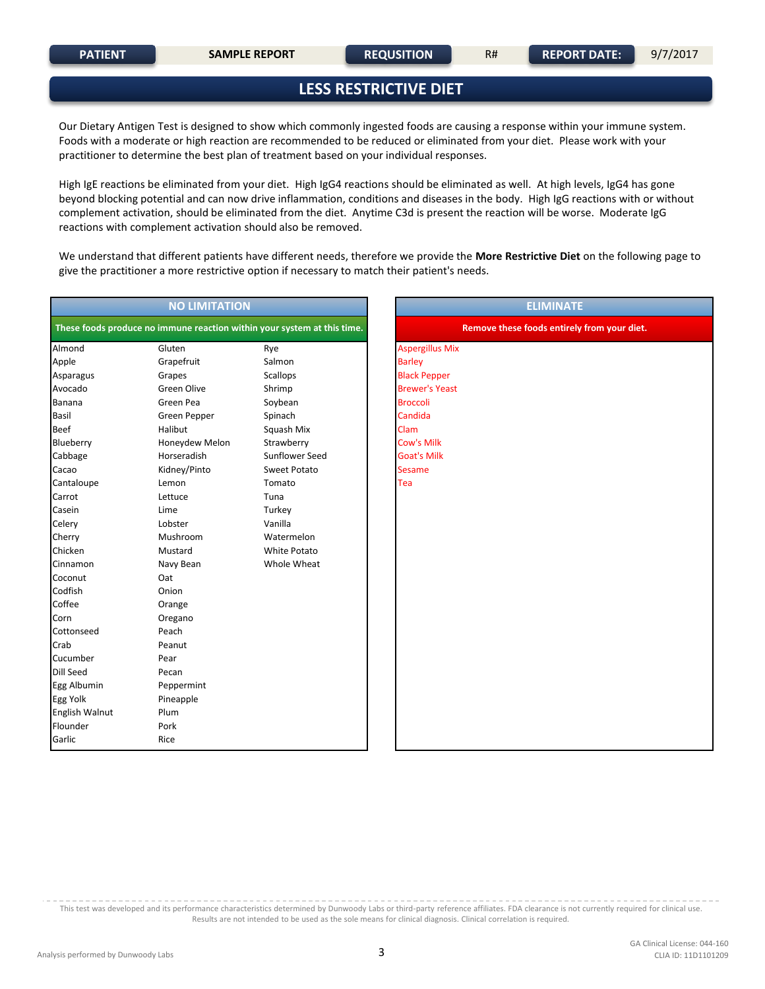#### **LESS RESTRICTIVE DIET**

Our Dietary Antigen Test is designed to show which commonly ingested foods are causing a response within your immune system. Foods with a moderate or high reaction are recommended to be reduced or eliminated from your diet. Please work with your practitioner to determine the best plan of treatment based on your individual responses.

High IgE reactions be eliminated from your diet. High IgG4 reactions should be eliminated as well. At high levels, IgG4 has gone beyond blocking potential and can now drive inflammation, conditions and diseases in the body. High IgG reactions with or without complement activation, should be eliminated from the diet. Anytime C3d is present the reaction will be worse. Moderate IgG reactions with complement activation should also be removed.

We understand that different patients have different needs, therefore we provide the **More Restrictive Diet** on the following page to give the practitioner a more restrictive option if necessary to match their patient's needs.

| These foods produce no immune reaction within your system at this time.<br>Remove these foods entirely from your diet.<br><b>Aspergillus Mix</b><br>Almond<br>Gluten<br>Rye<br>Grapefruit<br>Salmon<br><b>Barley</b><br>Apple<br><b>Black Pepper</b><br><b>Scallops</b><br>Asparagus<br>Grapes<br><b>Green Olive</b><br><b>Brewer's Yeast</b><br>Avocado<br>Shrimp<br>Green Pea<br><b>Broccoli</b><br>Soybean<br>Banana<br>Candida<br><b>Basil</b><br>Green Pepper<br>Spinach<br>Halibut<br>Clam<br><b>Beef</b><br>Squash Mix<br><b>Cow's Milk</b><br>Blueberry<br>Honeydew Melon<br>Strawberry<br>Cabbage<br>Horseradish<br>Sunflower Seed<br><b>Goat's Milk</b><br>Kidney/Pinto<br><b>Sesame</b><br>Sweet Potato<br>Cacao<br>Tea<br>Cantaloupe<br>Lemon<br>Tomato<br>Lettuce<br>Tuna<br>Carrot<br>Lime<br>Turkey<br>Casein<br>Vanilla<br>Celery<br>Lobster<br>Cherry<br>Mushroom<br>Watermelon<br>Chicken<br>Mustard<br>White Potato<br>Navy Bean<br>Whole Wheat<br>Cinnamon<br>Oat<br>Coconut<br>Codfish<br>Onion<br>Coffee<br>Orange<br>Corn<br>Oregano<br>Peach<br>Cottonseed<br>Crab<br>Peanut<br>Cucumber<br>Pear<br><b>Dill Seed</b><br>Pecan<br>Egg Albumin<br>Peppermint<br>Egg Yolk<br>Pineapple<br>English Walnut<br>Plum<br>Flounder<br>Pork<br>Garlic<br>Rice | <b>NO LIMITATION</b> | <b>ELIMINATE</b> |
|-----------------------------------------------------------------------------------------------------------------------------------------------------------------------------------------------------------------------------------------------------------------------------------------------------------------------------------------------------------------------------------------------------------------------------------------------------------------------------------------------------------------------------------------------------------------------------------------------------------------------------------------------------------------------------------------------------------------------------------------------------------------------------------------------------------------------------------------------------------------------------------------------------------------------------------------------------------------------------------------------------------------------------------------------------------------------------------------------------------------------------------------------------------------------------------------------------------------------------------------------------------------------------|----------------------|------------------|
|                                                                                                                                                                                                                                                                                                                                                                                                                                                                                                                                                                                                                                                                                                                                                                                                                                                                                                                                                                                                                                                                                                                                                                                                                                                                             |                      |                  |
|                                                                                                                                                                                                                                                                                                                                                                                                                                                                                                                                                                                                                                                                                                                                                                                                                                                                                                                                                                                                                                                                                                                                                                                                                                                                             |                      |                  |
|                                                                                                                                                                                                                                                                                                                                                                                                                                                                                                                                                                                                                                                                                                                                                                                                                                                                                                                                                                                                                                                                                                                                                                                                                                                                             |                      |                  |
|                                                                                                                                                                                                                                                                                                                                                                                                                                                                                                                                                                                                                                                                                                                                                                                                                                                                                                                                                                                                                                                                                                                                                                                                                                                                             |                      |                  |
|                                                                                                                                                                                                                                                                                                                                                                                                                                                                                                                                                                                                                                                                                                                                                                                                                                                                                                                                                                                                                                                                                                                                                                                                                                                                             |                      |                  |
|                                                                                                                                                                                                                                                                                                                                                                                                                                                                                                                                                                                                                                                                                                                                                                                                                                                                                                                                                                                                                                                                                                                                                                                                                                                                             |                      |                  |
|                                                                                                                                                                                                                                                                                                                                                                                                                                                                                                                                                                                                                                                                                                                                                                                                                                                                                                                                                                                                                                                                                                                                                                                                                                                                             |                      |                  |
|                                                                                                                                                                                                                                                                                                                                                                                                                                                                                                                                                                                                                                                                                                                                                                                                                                                                                                                                                                                                                                                                                                                                                                                                                                                                             |                      |                  |
|                                                                                                                                                                                                                                                                                                                                                                                                                                                                                                                                                                                                                                                                                                                                                                                                                                                                                                                                                                                                                                                                                                                                                                                                                                                                             |                      |                  |
|                                                                                                                                                                                                                                                                                                                                                                                                                                                                                                                                                                                                                                                                                                                                                                                                                                                                                                                                                                                                                                                                                                                                                                                                                                                                             |                      |                  |
|                                                                                                                                                                                                                                                                                                                                                                                                                                                                                                                                                                                                                                                                                                                                                                                                                                                                                                                                                                                                                                                                                                                                                                                                                                                                             |                      |                  |
|                                                                                                                                                                                                                                                                                                                                                                                                                                                                                                                                                                                                                                                                                                                                                                                                                                                                                                                                                                                                                                                                                                                                                                                                                                                                             |                      |                  |
|                                                                                                                                                                                                                                                                                                                                                                                                                                                                                                                                                                                                                                                                                                                                                                                                                                                                                                                                                                                                                                                                                                                                                                                                                                                                             |                      |                  |
|                                                                                                                                                                                                                                                                                                                                                                                                                                                                                                                                                                                                                                                                                                                                                                                                                                                                                                                                                                                                                                                                                                                                                                                                                                                                             |                      |                  |
|                                                                                                                                                                                                                                                                                                                                                                                                                                                                                                                                                                                                                                                                                                                                                                                                                                                                                                                                                                                                                                                                                                                                                                                                                                                                             |                      |                  |
|                                                                                                                                                                                                                                                                                                                                                                                                                                                                                                                                                                                                                                                                                                                                                                                                                                                                                                                                                                                                                                                                                                                                                                                                                                                                             |                      |                  |
|                                                                                                                                                                                                                                                                                                                                                                                                                                                                                                                                                                                                                                                                                                                                                                                                                                                                                                                                                                                                                                                                                                                                                                                                                                                                             |                      |                  |
|                                                                                                                                                                                                                                                                                                                                                                                                                                                                                                                                                                                                                                                                                                                                                                                                                                                                                                                                                                                                                                                                                                                                                                                                                                                                             |                      |                  |
|                                                                                                                                                                                                                                                                                                                                                                                                                                                                                                                                                                                                                                                                                                                                                                                                                                                                                                                                                                                                                                                                                                                                                                                                                                                                             |                      |                  |
|                                                                                                                                                                                                                                                                                                                                                                                                                                                                                                                                                                                                                                                                                                                                                                                                                                                                                                                                                                                                                                                                                                                                                                                                                                                                             |                      |                  |
|                                                                                                                                                                                                                                                                                                                                                                                                                                                                                                                                                                                                                                                                                                                                                                                                                                                                                                                                                                                                                                                                                                                                                                                                                                                                             |                      |                  |
|                                                                                                                                                                                                                                                                                                                                                                                                                                                                                                                                                                                                                                                                                                                                                                                                                                                                                                                                                                                                                                                                                                                                                                                                                                                                             |                      |                  |
|                                                                                                                                                                                                                                                                                                                                                                                                                                                                                                                                                                                                                                                                                                                                                                                                                                                                                                                                                                                                                                                                                                                                                                                                                                                                             |                      |                  |
|                                                                                                                                                                                                                                                                                                                                                                                                                                                                                                                                                                                                                                                                                                                                                                                                                                                                                                                                                                                                                                                                                                                                                                                                                                                                             |                      |                  |
|                                                                                                                                                                                                                                                                                                                                                                                                                                                                                                                                                                                                                                                                                                                                                                                                                                                                                                                                                                                                                                                                                                                                                                                                                                                                             |                      |                  |
|                                                                                                                                                                                                                                                                                                                                                                                                                                                                                                                                                                                                                                                                                                                                                                                                                                                                                                                                                                                                                                                                                                                                                                                                                                                                             |                      |                  |
|                                                                                                                                                                                                                                                                                                                                                                                                                                                                                                                                                                                                                                                                                                                                                                                                                                                                                                                                                                                                                                                                                                                                                                                                                                                                             |                      |                  |
|                                                                                                                                                                                                                                                                                                                                                                                                                                                                                                                                                                                                                                                                                                                                                                                                                                                                                                                                                                                                                                                                                                                                                                                                                                                                             |                      |                  |
|                                                                                                                                                                                                                                                                                                                                                                                                                                                                                                                                                                                                                                                                                                                                                                                                                                                                                                                                                                                                                                                                                                                                                                                                                                                                             |                      |                  |
|                                                                                                                                                                                                                                                                                                                                                                                                                                                                                                                                                                                                                                                                                                                                                                                                                                                                                                                                                                                                                                                                                                                                                                                                                                                                             |                      |                  |
|                                                                                                                                                                                                                                                                                                                                                                                                                                                                                                                                                                                                                                                                                                                                                                                                                                                                                                                                                                                                                                                                                                                                                                                                                                                                             |                      |                  |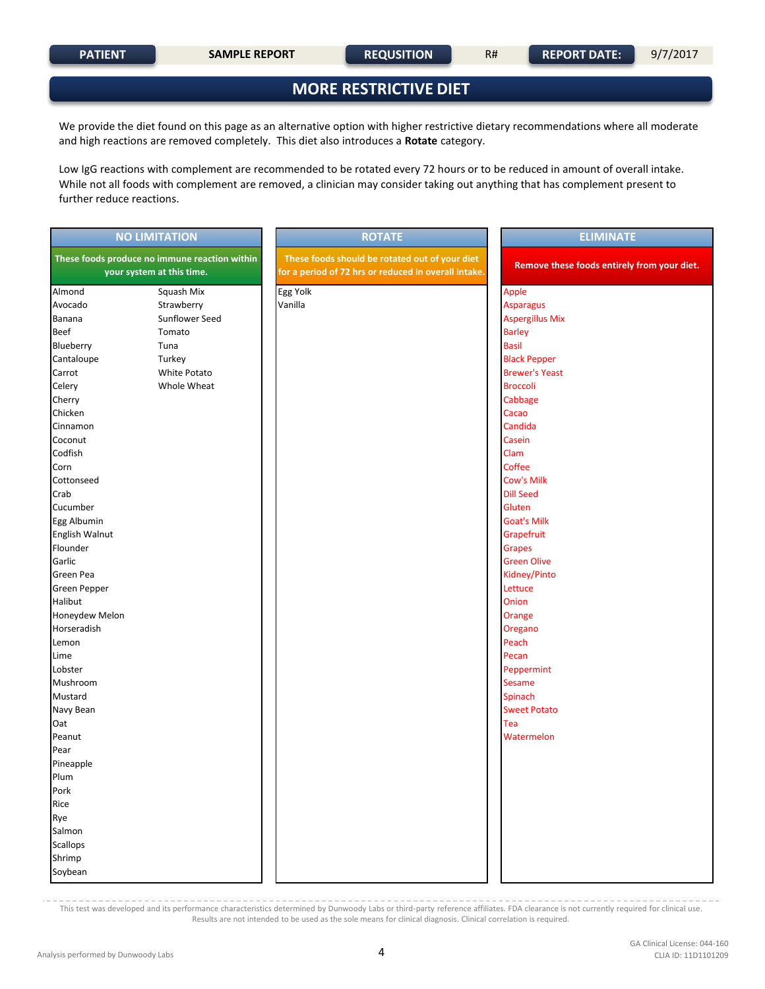#### **MORE RESTRICTIVE DIET**

We provide the diet found on this page as an alternative option with higher restrictive dietary recommendations where all moderate and high reactions are removed completely. This diet also introduces a **Rotate** category.

Low IgG reactions with complement are recommended to be rotated every 72 hours or to be reduced in amount of overall intake. While not all foods with complement are removed, a clinician may consider taking out anything that has complement present to further reduce reactions.

|                     | <b>NO LIMITATION</b>                                                       | <b>ROTATE</b>                                                                                          | <b>ELIMINATE</b>                            |
|---------------------|----------------------------------------------------------------------------|--------------------------------------------------------------------------------------------------------|---------------------------------------------|
|                     | These foods produce no immune reaction within<br>your system at this time. | These foods should be rotated out of your diet<br>for a period of 72 hrs or reduced in overall intake. | Remove these foods entirely from your diet. |
| Almond              | Squash Mix                                                                 | Egg Yolk                                                                                               | Apple                                       |
| Avocado             | Strawberry                                                                 | Vanilla                                                                                                | <b>Asparagus</b>                            |
| Banana              | Sunflower Seed                                                             |                                                                                                        | <b>Aspergillus Mix</b>                      |
| Beef                | Tomato                                                                     |                                                                                                        | <b>Barley</b>                               |
| Blueberry           | Tuna                                                                       |                                                                                                        | <b>Basil</b>                                |
| Cantaloupe          | Turkey                                                                     |                                                                                                        | <b>Black Pepper</b>                         |
| Carrot              | White Potato                                                               |                                                                                                        | <b>Brewer's Yeast</b>                       |
| Celery              | Whole Wheat                                                                |                                                                                                        | <b>Broccoli</b>                             |
| Cherry              |                                                                            |                                                                                                        | Cabbage                                     |
| Chicken             |                                                                            |                                                                                                        | Cacao                                       |
| Cinnamon            |                                                                            |                                                                                                        | Candida                                     |
| Coconut             |                                                                            |                                                                                                        | Casein                                      |
| Codfish             |                                                                            |                                                                                                        | Clam                                        |
| Corn                |                                                                            |                                                                                                        | Coffee                                      |
| Cottonseed          |                                                                            |                                                                                                        | <b>Cow's Milk</b>                           |
| Crab                |                                                                            |                                                                                                        | <b>Dill Seed</b>                            |
| Cucumber            |                                                                            |                                                                                                        | Gluten                                      |
| Egg Albumin         |                                                                            |                                                                                                        | <b>Goat's Milk</b>                          |
| English Walnut      |                                                                            |                                                                                                        | Grapefruit                                  |
| Flounder            |                                                                            |                                                                                                        | <b>Grapes</b>                               |
| Garlic              |                                                                            |                                                                                                        | <b>Green Olive</b>                          |
| Green Pea           |                                                                            |                                                                                                        | Kidney/Pinto                                |
| <b>Green Pepper</b> |                                                                            |                                                                                                        | Lettuce                                     |
| Halibut             |                                                                            |                                                                                                        | Onion                                       |
| Honeydew Melon      |                                                                            |                                                                                                        | Orange                                      |
| Horseradish         |                                                                            |                                                                                                        | Oregano                                     |
| Lemon               |                                                                            |                                                                                                        | Peach                                       |
| Lime                |                                                                            |                                                                                                        | Pecan                                       |
| Lobster             |                                                                            |                                                                                                        | Peppermint                                  |
| Mushroom            |                                                                            |                                                                                                        | <b>Sesame</b>                               |
| Mustard             |                                                                            |                                                                                                        | Spinach                                     |
| Navy Bean           |                                                                            |                                                                                                        | <b>Sweet Potato</b>                         |
| Oat                 |                                                                            |                                                                                                        | Tea                                         |
| Peanut              |                                                                            |                                                                                                        | Watermelon                                  |
| Pear                |                                                                            |                                                                                                        |                                             |
| Pineapple           |                                                                            |                                                                                                        |                                             |
| Plum                |                                                                            |                                                                                                        |                                             |
| Pork                |                                                                            |                                                                                                        |                                             |
| Rice                |                                                                            |                                                                                                        |                                             |
| Rye                 |                                                                            |                                                                                                        |                                             |
| Salmon              |                                                                            |                                                                                                        |                                             |
| <b>Scallops</b>     |                                                                            |                                                                                                        |                                             |
| Shrimp              |                                                                            |                                                                                                        |                                             |
| Soybean             |                                                                            |                                                                                                        |                                             |
|                     |                                                                            |                                                                                                        |                                             |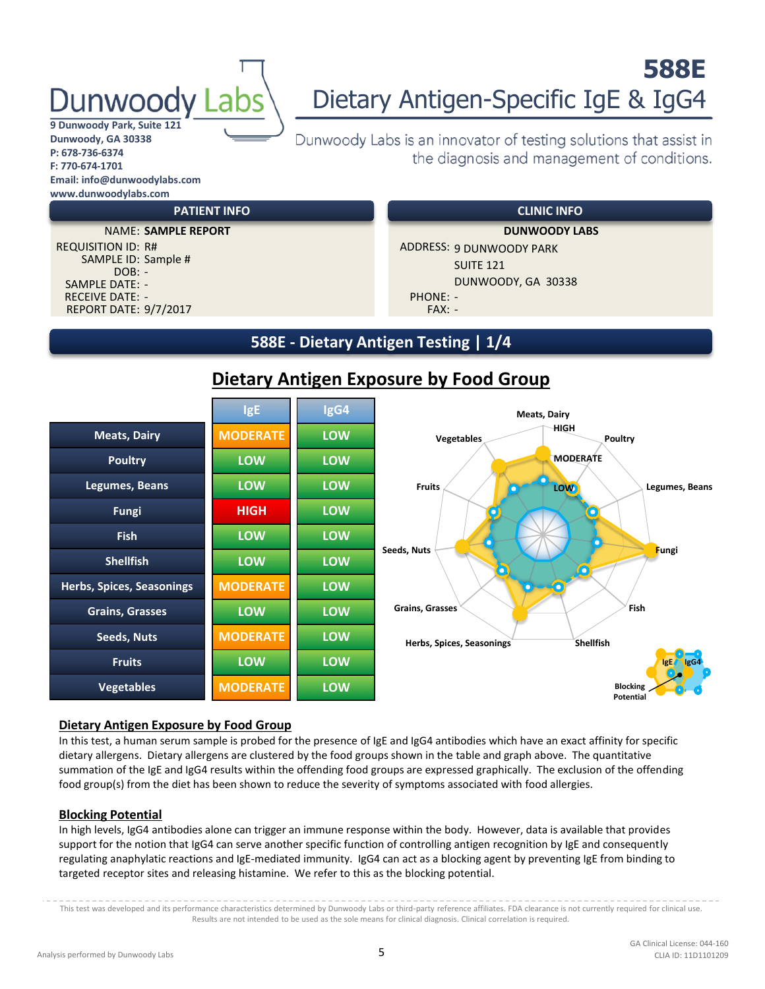# unwood

## **588E** Dietary Antigen-Specific IgE & IgG4

**9 Dunwoody Park, Suite 121 Dunwoody, GA 30338 P: 678-736-6374 F: 770-674-1701 Email: info@dunwoodylabs.com www.dunwoodylabs.com**

> SAMPLE ID: Sample # DOB: -

SAMPLE DATE: -

#### Dunwoody Labs is an innovator of testing solutions that assist in the diagnosis and management of conditions.

#### **PATIENT INFO CLINIC INFO**

REPORT DATE: 9/7/2017 FAX: -NAME: **SAMPLE REPORT DUNWOODY LABS** REQUISITION ID: R# ADDRESS: 9 DUNWOODY PARK SUITE 121 DUNWOODY, GA 30338 RECEIVE DATE: - PHONE: - PHONE: -

#### **588E - Dietary Antigen Testing | 1/4**

|                                  | <b>IgE</b>      | IgG4       | <b>Meats, Dairy</b>                    |
|----------------------------------|-----------------|------------|----------------------------------------|
| <b>Meats, Dairy</b>              | <b>MODERATE</b> | LOW        | HIGH<br>Vegetables<br>Poultry          |
| <b>Poultry</b>                   | <b>LOW</b>      | <b>LOW</b> | <b>MODERATE</b>                        |
| Legumes, Beans                   | <b>LOW</b>      | LOW        | <b>Fruits</b><br>Legumes, Beans<br>LOW |
| <b>Fungi</b>                     | <b>HIGH</b>     | LOW        |                                        |
| <b>Fish</b>                      | <b>LOW</b>      | <b>LOW</b> |                                        |
| <b>Shellfish</b>                 | <b>LOW</b>      | LOW        | Seeds, Nuts<br>Fungi                   |
| <b>Herbs, Spices, Seasonings</b> | <b>MODERATE</b> | LOW        |                                        |
| <b>Grains, Grasses</b>           | <b>LOW</b>      | LOW        | <b>Grains, Grasses</b><br>Fish         |
| Seeds, Nuts                      | <b>MODERATE</b> | LOW        | Shellfish<br>Herbs, Spices, Seasonings |
| <b>Fruits</b>                    | <b>LOW</b>      | <b>LOW</b> | <b>NgG4</b><br>lgE <sub>4</sub>        |
| <b>Vegetables</b>                | <b>MODERATE</b> | <b>LOW</b> | <b>Blocking</b><br>Potential           |

#### **Dietary Antigen Exposure by Food Group**

#### **Dietary Antigen Exposure by Food Group**

In this test, a human serum sample is probed for the presence of IgE and IgG4 antibodies which have an exact affinity for specific dietary allergens. Dietary allergens are clustered by the food groups shown in the table and graph above. The quantitative summation of the IgE and IgG4 results within the offending food groups are expressed graphically. The exclusion of the offending food group(s) from the diet has been shown to reduce the severity of symptoms associated with food allergies.

#### **Blocking Potential**

In high levels, IgG4 antibodies alone can trigger an immune response within the body. However, data is available that provides support for the notion that IgG4 can serve another specific function of controlling antigen recognition by IgE and consequently regulating anaphylatic reactions and IgE-mediated immunity. IgG4 can act as a blocking agent by preventing IgE from binding to targeted receptor sites and releasing histamine. We refer to this as the blocking potential.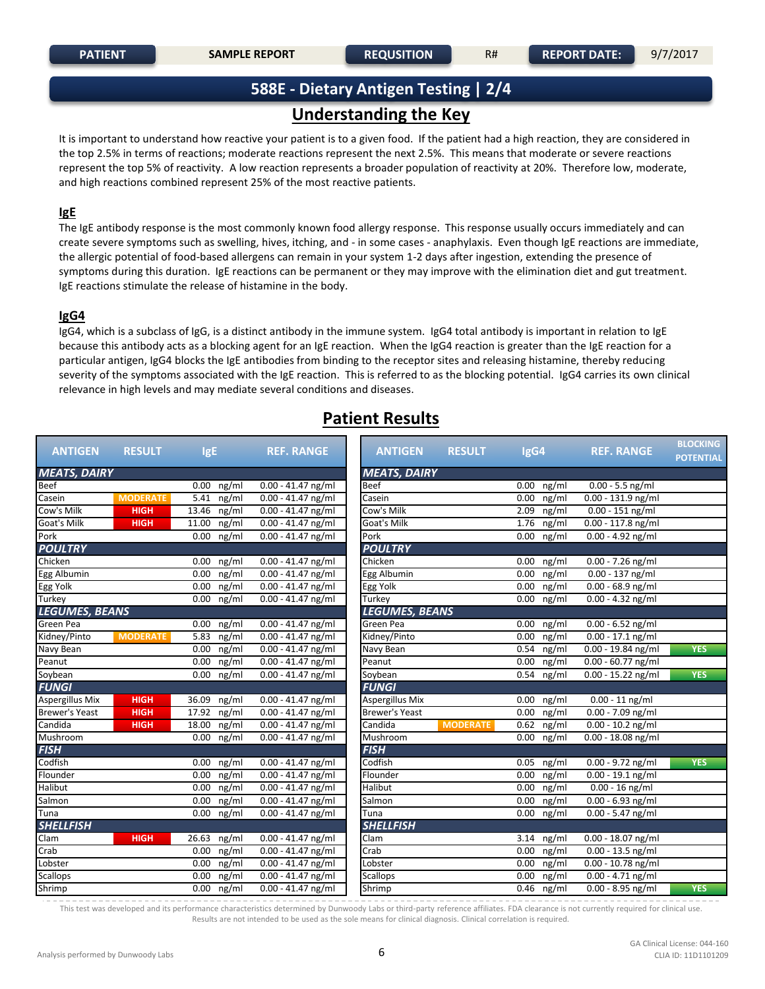#### **588E - Dietary Antigen Testing | 2/4**

#### **Understanding the Key**

It is important to understand how reactive your patient is to a given food. If the patient had a high reaction, they are considered in the top 2.5% in terms of reactions; moderate reactions represent the next 2.5%. This means that moderate or severe reactions represent the top 5% of reactivity. A low reaction represents a broader population of reactivity at 20%. Therefore low, moderate, and high reactions combined represent 25% of the most reactive patients.

#### **IgE**

The IgE antibody response is the most commonly known food allergy response. This response usually occurs immediately and can create severe symptoms such as swelling, hives, itching, and - in some cases - anaphylaxis. Even though IgE reactions are immediate, the allergic potential of food-based allergens can remain in your system 1-2 days after ingestion, extending the presence of symptoms during this duration. IgE reactions can be permanent or they may improve with the elimination diet and gut treatment. IgE reactions stimulate the release of histamine in the body.

#### **IgG4**

IgG4, which is a subclass of IgG, is a distinct antibody in the immune system. IgG4 total antibody is important in relation to IgE because this antibody acts as a blocking agent for an IgE reaction. When the IgG4 reaction is greater than the IgE reaction for a particular antigen, IgG4 blocks the IgE antibodies from binding to the receptor sites and releasing histamine, thereby reducing severity of the symptoms associated with the IgE reaction. This is referred to as the blocking potential. IgG4 carries its own clinical relevance in high levels and may mediate several conditions and diseases.

#### **Patient Results**

| <b>ANTIGEN</b>         | <b>RESULT</b>   | <b>IgE</b>     | <b>REF. RANGE</b>               | <b>ANTIGEN</b>        | <b>RESULT</b>   | IgG4                       | <b>REF. RANGE</b>    | <b>BLOCKING</b><br><b>POTENTIAL</b> |
|------------------------|-----------------|----------------|---------------------------------|-----------------------|-----------------|----------------------------|----------------------|-------------------------------------|
| <b>MEATS, DAIRY</b>    |                 |                |                                 | <b>MEATS, DAIRY</b>   |                 |                            |                      |                                     |
| <b>Beef</b>            |                 | $0.00$ ng/ml   | $0.00 - 41.47$ ng/ml            | <b>Beef</b>           |                 | 0.00<br>$ng/\overline{ml}$ | $0.00 - 5.5$ ng/ml   |                                     |
| Casein                 | <b>MODERATE</b> | ng/ml<br>5.41  | $0.00 - 41.47$ ng/ml            | Casein                |                 | 0.00<br>ng/ml              | $0.00 - 131.9$ ng/ml |                                     |
| Cow's Milk             | <b>HIGH</b>     | 13.46 ng/ml    | $0.00 - 41.47$ ng/ml            | Cow's Milk            |                 | ng/ml<br>2.09              | $0.00 - 151$ ng/ml   |                                     |
| Goat's Milk            | <b>HIGH</b>     | 11.00<br>ng/ml | $0.00 - 41.47$ ng/ml            | Goat's Milk           |                 | 1.76<br>ng/ml              | 0.00 - 117.8 ng/ml   |                                     |
| Pork                   |                 | 0.00<br>ng/ml  | $0.00 - 41.47$ ng/ml            | Pork                  |                 | 0.00<br>ng/ml              | $0.00 - 4.92$ ng/ml  |                                     |
| <b>POULTRY</b>         |                 |                |                                 | <b>POULTRY</b>        |                 |                            |                      |                                     |
| Chicken                |                 | 0.00<br>ng/ml  | $0.00 - 41.47$ ng/ml            | Chicken               |                 | 0.00<br>ng/ml              | $0.00 - 7.26$ ng/ml  |                                     |
| Egg Albumin            |                 | 0.00<br>ng/ml  | $0.00 - 41.47$ ng/ml            | Egg Albumin           |                 | 0.00<br>ng/ml              | $0.00 - 137$ ng/ml   |                                     |
| Egg Yolk               |                 | 0.00<br>ng/ml  | $0.00 - 41.47$ ng/ml            | Egg Yolk              |                 | 0.00<br>ng/ml              | $0.00 - 68.9$ ng/ml  |                                     |
| Turkey                 |                 | 0.00<br>ng/ml  | $0.00 - 41.47$ ng/ml            | Turkey                |                 | 0.00<br>ng/ml              | $0.00 - 4.32$ ng/ml  |                                     |
| <b>LEGUMES, BEANS</b>  |                 |                |                                 | <b>LEGUMES, BEANS</b> |                 |                            |                      |                                     |
| Green Pea              |                 | $0.00$ ng/ml   | $0.00 - 41.47$ ng/ml            | Green Pea             |                 | 0.00<br>ng/ml              | $0.00 - 6.52$ ng/ml  |                                     |
| Kidney/Pinto           | <b>MODERATE</b> | 5.83 ng/ml     | $0.00 - 41.47$ ng/ml            | Kidney/Pinto          |                 | ng/ml<br>0.00              | $0.00 - 17.1$ ng/ml  |                                     |
| Navy Bean              |                 | 0.00<br>ng/ml  | $0.00 - 41.47$ ng/ml            | Navy Bean             |                 | 0.54<br>ng/ml              | $0.00 - 19.84$ ng/ml | <b>YES</b>                          |
| Peanut                 |                 | ng/ml<br>0.00  | $0.00 - 41.47$ ng/ml            | Peanut                |                 | 0.00<br>ng/ml              | $0.00 - 60.77$ ng/ml |                                     |
| Soybean                |                 | $0.00$ ng/ml   | $0.00 - 41.47$ ng/ml            | Soybean               |                 | $0.54$ ng/ml               | $0.00 - 15.22$ ng/ml | <b>YES</b>                          |
| <b>FUNGI</b>           |                 |                |                                 | <b>FUNGI</b>          |                 |                            |                      |                                     |
| <b>Aspergillus Mix</b> | <b>HIGH</b>     | 36.09 ng/ml    | $0.00 - 41.47$ ng/ml            | Aspergillus Mix       |                 | $0.00$ ng/ml               | $0.00 - 11$ ng/ml    |                                     |
| <b>Brewer's Yeast</b>  | <b>HIGH</b>     | $17.92$ ng/ml  | $0.00 - 41.47$ ng/ml            | Brewer's Yeast        |                 | 0.00<br>ng/ml              | $0.00 - 7.09$ ng/ml  |                                     |
| Candida                | <b>HIGH</b>     | 18.00<br>ng/ml | $0.00 - 41.47$ ng/ml            | Candida               | <b>MODERATE</b> | 0.62<br>ng/ml              | $0.00 - 10.2$ ng/ml  |                                     |
| Mushroom               |                 | ng/ml<br>0.00  | $0.00 - 41.47$ ng/ml            | Mushroom              |                 | ng/ml<br>0.00              | $0.00 - 18.08$ ng/ml |                                     |
| <b>FISH</b>            |                 |                |                                 | <b>FISH</b>           |                 |                            |                      |                                     |
| Codfish                |                 | 0.00<br>ng/ml  | $0.00 - 41.47$ ng/ml            | Codfish               |                 | ng/ml<br>0.05              | $0.00 - 9.72$ ng/ml  | <b>YES</b>                          |
| Flounder               |                 | ng/ml<br>0.00  | $0.00 - 41.47$ ng/ml            | Flounder              |                 | ng/ml<br>0.00              | $0.00 - 19.1$ ng/ml  |                                     |
| Halibut                |                 | 0.00<br>ng/ml  | $0.00 - 41.47$ ng/ml            | Halibut               |                 | ng/ml<br>0.00              | $0.00 - 16$ ng/ml    |                                     |
| Salmon                 |                 | 0.00<br>ng/ml  | $0.00 - 41.47$ ng/ml            | Salmon                |                 | 0.00<br>ng/ml              | $0.00 - 6.93$ ng/ml  |                                     |
| Tuna                   |                 | 0.00<br>ng/ml  | $0.00 - 41.47$ ng/ml            | Tuna                  |                 | 0.00<br>ng/ml              | $0.00 - 5.47$ ng/ml  |                                     |
| <b>SHELLFISH</b>       |                 |                |                                 | <b>SHELLFISH</b>      |                 |                            |                      |                                     |
| Clam                   | <b>HIGH</b>     | 26.63 ng/ml    | $0.00 - 41.47$ ng/ml            | Clam                  |                 | $3.14$ ng/ml               | 0.00 - 18.07 ng/ml   |                                     |
| Crab                   |                 | 0.00<br>ng/ml  | $0.00 - 41.47$ ng/ml            | Crab                  |                 | 0.00<br>ng/ml              | $0.00 - 13.5$ ng/ml  |                                     |
| Lobster                |                 | 0.00<br>ng/ml  | $0.00 - 41.47$ ng/ml            | Lobster               |                 | 0.00<br>ng/ml              | $0.00 - 10.78$ ng/ml |                                     |
| <b>Scallops</b>        |                 | 0.00<br>ng/ml  | $0.00 - 41.47$ ng/ml            | <b>Scallops</b>       |                 | 0.00<br>ng/ml              | $0.00 - 4.71$ ng/ml  |                                     |
| Shrimp                 |                 | $0.00$ ng/ml   | $\overline{0.00}$ - 41.47 ng/ml | Shrimp                |                 | $0.46$ ng/ml               | $0.00 - 8.95$ ng/ml  | <b>YES</b>                          |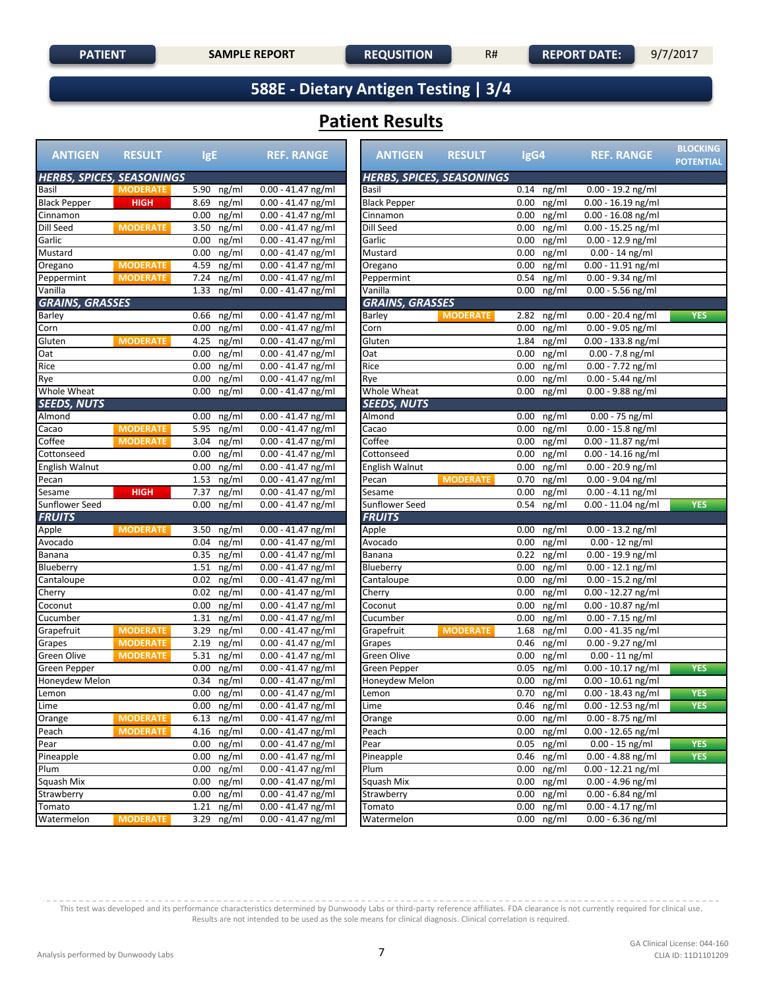**588E - Dietary Antigen Testing | 3/4**

## **Patient Results**

| <b>ANTIGEN</b>                   | <b>RESULT</b>   | <b>IgE</b>                     | <b>REF. RANGE</b>                          | <b>ANTIGEN</b>         | <b>RESULT</b>                    | IgG4                   | <b>REF. RANGE</b>                           | <b>BLOCKING</b><br><b>POTENTIAL</b> |
|----------------------------------|-----------------|--------------------------------|--------------------------------------------|------------------------|----------------------------------|------------------------|---------------------------------------------|-------------------------------------|
| <b>HERBS, SPICES, SEASONINGS</b> |                 |                                |                                            |                        | <b>HERBS, SPICES, SEASONINGS</b> |                        |                                             |                                     |
| Basil                            | <b>MODERATE</b> | 5.90<br>ng/ml                  | $0.00 - 41.47$ ng/ml                       | Basil                  |                                  | 0.14<br>ng/ml          | $0.00 - 19.2$ ng/ml                         |                                     |
| <b>Black Pepper</b>              | <b>HIGH</b>     | 8.69<br>ng/ml                  | $0.00 - 41.47$ ng/ml                       | <b>Black Pepper</b>    |                                  | 0.00<br>ng/ml          | $0.00 - 16.19$ ng/ml                        |                                     |
| Cinnamon                         |                 | 0.00<br>ng/ml                  | $0.00 - 41.47$ ng/ml                       | Cinnamon               |                                  | 0.00<br>ng/ml          | $0.00 - 16.08$ ng/ml                        |                                     |
| Dill Seed                        | <b>MODERATE</b> | ng/ml<br>3.50                  | $0.00 - 41.47$ ng/ml                       | Dill Seed              |                                  | ng/ml<br>0.00          | $0.00 - 15.25$ ng/ml                        |                                     |
| Garlic                           |                 | 0.00<br>ng/ml                  | $0.00 - 41.47$ ng/ml                       | Garlic                 |                                  | 0.00<br>ng/ml          | $0.00 - 12.9$ ng/ml                         |                                     |
| Mustard                          |                 | 0.00<br>ng/ml                  | $0.00 - 41.47$ ng/ml                       | Mustard                |                                  | 0.00<br>ng/ml          | $0.00 - 14$ ng/ml                           |                                     |
| Oregano                          | <b>MODERATE</b> | 4.59<br>ng/ml                  | $0.00 - 41.47$ ng/ml                       | Oregano                |                                  | 0.00<br>ng/ml          | 0.00 - 11.91 ng/ml                          |                                     |
| Peppermint                       | <b>MODERATE</b> | 7.24<br>ng/ml                  | 0.00 - 41.47 ng/ml                         | Peppermint             |                                  | 0.54<br>ng/ml          | 0.00 - 9.34 ng/ml                           |                                     |
| Vanilla                          |                 | 1.33 ng/ml                     | $0.00 - 41.47$ ng/ml                       | Vanilla                |                                  | 0.00<br>ng/ml          | $0.00 - 5.56$ ng/ml                         |                                     |
| <b>GRAINS, GRASSES</b>           |                 |                                |                                            | <b>GRAINS, GRASSES</b> |                                  |                        |                                             |                                     |
| Barley                           |                 | 0.66 ng/ml                     | $0.00 - 41.47$ ng/ml                       | <b>Barley</b>          | <b>MODERATE</b>                  | 2.82<br>ng/ml          | 0.00 - 20.4 ng/ml                           | <b>YES</b>                          |
| Corn                             |                 | ng/ml<br>0.00                  | $0.00 - 41.47$ ng/ml                       | Corn                   |                                  | 0.00<br>ng/ml          | $0.00 - 9.05$ ng/ml                         |                                     |
| Gluten                           | <b>MODERATE</b> | 4.25<br>ng/ml                  | $0.00 - 41.47$ ng/ml                       | Gluten                 |                                  | 1.84<br>ng/ml          | $0.00 - 133.8$ ng/ml                        |                                     |
| Oat                              |                 | 0.00<br>ng/ml                  | $0.00 - 41.47$ ng/ml                       | Oat                    |                                  | 0.00<br>ng/ml          | $0.00 - 7.8$ ng/ml                          |                                     |
| Rice                             |                 | 0.00<br>ng/ml                  | $0.00 - 41.47$ ng/ml                       | Rice                   |                                  | 0.00<br>ng/ml          | $0.00 - 7.72$ ng/ml                         |                                     |
| Rye                              |                 | ng/ml<br>0.00                  | $0.00 - 41.47$ ng/ml                       | Rye                    |                                  | 0.00<br>ng/ml          | $0.00 - 5.44$ ng/ml                         |                                     |
| Whole Wheat                      |                 | 0.00<br>ng/ml                  | $0.00 - 41.47$ ng/ml                       | Whole Wheat            |                                  | 0.00<br>ng/ml          | $0.00 - 9.88$ ng/ml                         |                                     |
| <b>SEEDS, NUTS</b>               |                 |                                |                                            | <b>SEEDS, NUTS</b>     |                                  |                        |                                             |                                     |
| Almond                           |                 | $0.00$ ng/ml                   | $0.00 - 41.47$ ng/ml                       | Almond                 |                                  | 0.00<br>ng/ml          | $0.00 - 75$ ng/ml                           |                                     |
| Cacao                            | <b>MODERATE</b> | 5.95<br>ng/ml                  | $0.00 - 41.47$ ng/ml                       | Cacao                  |                                  | 0.00<br>ng/ml          | 0.00 - 15.8 ng/ml                           |                                     |
| Coffee                           | <b>MODERATE</b> | 3.04<br>ng/ml                  | $0.00 - 41.47$ ng/ml                       | Coffee                 |                                  | 0.00<br>ng/ml          | $0.00 - 11.87$ ng/ml                        |                                     |
| Cottonseed                       |                 | ng/ml<br>0.00                  | $0.00 - 41.47$ ng/ml                       | Cottonseed             |                                  | ng/ml<br>0.00          | $0.00 - 14.16$ ng/ml                        |                                     |
| English Walnut                   |                 | 0.00<br>ng/ml                  | $0.00 - 41.47$ ng/ml                       | English Walnut         |                                  | 0.00<br>ng/ml          | $0.00 - 20.9$ ng/ml                         |                                     |
| Pecan                            |                 | 1.53<br>ng/ml                  | $0.00 - 41.47$ ng/ml                       | Pecan                  | <b>MODERATE</b>                  | 0.70<br>ng/ml          | $0.00 - 9.04$ ng/ml                         |                                     |
| Sesame                           | <b>HIGH</b>     | 7.37<br>ng/ml                  | $0.00 - 41.47$ ng/ml                       | Sesame                 |                                  | 0.00<br>ng/ml          | $0.00 - 4.11$ ng/ml                         |                                     |
| Sunflower Seed                   |                 | 0.00<br>ng/ml                  | $0.00 - 41.47$ ng/ml                       | Sunflower Seed         |                                  | 0.54<br>ng/ml          | 0.00 - 11.04 ng/ml                          | <b>YES</b>                          |
| <b>FRUITS</b>                    |                 |                                |                                            | <b>FRUITS</b>          |                                  |                        |                                             |                                     |
| Apple                            | <b>MODERATE</b> | 3.50<br>ng/ml                  | $0.00 - 41.47$ ng/ml                       | Apple                  |                                  | 0.00<br>ng/ml          | $0.00 - 13.2$ ng/ml                         |                                     |
| Avocado                          |                 | ng/ml<br>0.04                  | $0.00 - 41.47$ ng/ml                       | Avocado                |                                  | 0.00<br>ng/ml          | $0.00 - 12$ ng/ml                           |                                     |
| Banana                           |                 | 0.35<br>ng/ml                  | $0.00 - 41.47$ ng/ml                       | Banana                 |                                  | 0.22<br>ng/ml          | $0.00 - 19.9$ ng/ml                         |                                     |
| Blueberry                        |                 | 1.51<br>ng/ml                  | $0.00 - 41.47$ ng/ml                       | Blueberry              |                                  | 0.00<br>ng/ml          | $0.00 - 12.1$ ng/ml                         |                                     |
| Cantaloupe                       |                 | 0.02<br>ng/ml                  | $0.00 - 41.47$ ng/ml                       | Cantaloupe             |                                  | 0.00<br>ng/ml          | $0.00 - 15.2$ ng/ml                         |                                     |
| Cherry                           |                 | 0.02<br>ng/ml                  | 0.00 - 41.47 ng/ml                         | Cherry                 |                                  | ng/ml<br>0.00          | 0.00 - 12.27 ng/ml                          |                                     |
| Coconut                          |                 | ng/ml<br>0.00                  | $0.00 - 41.47$ ng/ml                       | Coconut                |                                  | 0.00<br>ng/ml          | $0.00 - 10.87$ ng/ml                        |                                     |
| Cucumber<br>Grapefruit           | <b>MODERATE</b> | 1.31<br>ng/ml<br>3.29<br>ng/ml | $0.00 - 41.47$ ng/ml                       | Cucumber<br>Grapefruit | <b>MODERATE</b>                  | 0.00<br>ng/ml<br>1.68  | $0.00 - 7.15$ ng/ml<br>$0.00 - 41.35$ ng/ml |                                     |
| Grapes                           | <b>MODERATE</b> | ng/ml<br>2.19                  | 0.00 - 41.47 ng/ml<br>$0.00 - 41.47$ ng/ml | Grapes                 |                                  | ng/ml<br>0.46<br>ng/ml | $0.00 - 9.27$ ng/ml                         |                                     |
| Green Olive                      | <b>MODERATE</b> | 5.31<br>ng/ml                  | $0.00 - 41.47$ ng/ml                       | Green Olive            |                                  | 0.00<br>ng/ml          | $0.00 - 11$ ng/ml                           |                                     |
| Green Pepper                     |                 | 0.00<br>ng/ml                  | 0.00 - 41.47 ng/ml                         | Green Pepper           |                                  | 0.05<br>ng/ml          | $0.00 - 10.17$ ng/ml                        | <b>YES</b>                          |
| Honeydew Melon                   |                 | 0.34<br>ng/ml                  | $0.00 - 41.47$ ng/ml                       | Honeydew Melon         |                                  | 0.00<br>ng/ml          | $0.00 - 10.61$ ng/ml                        |                                     |
| Lemon                            |                 | $0.00$ ng/ml                   | $0.00 - 41.47$ ng/ml                       | Lemon                  |                                  | $0.70$ ng/ml           | $0.00 - 18.43$ ng/ml                        | <b>YES</b>                          |
| Lime                             |                 | $0.00$ ng/ml                   | $0.00 - 41.47$ ng/ml                       | Lime                   |                                  | $0.46$ ng/ml           | $0.00 - 12.53$ ng/ml                        | <b>YES</b>                          |
| Orange                           | <b>MODERATE</b> | 6.13<br>ng/ml                  | $0.00 - 41.47$ ng/ml                       | Orange                 |                                  | 0.00<br>ng/ml          | $0.00 - 8.75$ ng/ml                         |                                     |
| Peach                            | <b>MODERATE</b> | 4.16 ng/ml                     | $0.00 - 41.47$ ng/ml                       | Peach                  |                                  | $0.00$ ng/ml           | $0.00 - 12.65$ ng/ml                        |                                     |
| Pear                             |                 | $0.00$ ng/ml                   | $0.00 - 41.47$ ng/ml                       | Pear                   |                                  | $0.05$ ng/ml           | $0.00 - 15$ ng/ml                           | <b>YES</b>                          |
| Pineapple                        |                 | ng/ml<br>$0.00\,$              | $0.00 - 41.47$ ng/ml                       | Pineapple              |                                  | 0.46<br>ng/ml          | $0.00 - 4.88$ ng/ml                         | <b>YES</b>                          |
| Plum                             |                 | $0.00$ ng/ml                   | $0.00 - 41.47$ ng/ml                       | Plum                   |                                  | $0.00$ ng/ml           | $0.00 - 12.21$ ng/ml                        |                                     |
| Squash Mix                       |                 | $0.00$ ng/ml                   | $0.00 - 41.47$ ng/ml                       | Squash Mix             |                                  | $0.00$ ng/ml           | $0.00 - 4.96$ ng/ml                         |                                     |
| Strawberry                       |                 | $0.00$ ng/ml                   | $0.00 - 41.47$ ng/ml                       | Strawberry             |                                  | ng/ml<br>$0.00\,$      | $0.00 - 6.84$ ng/ml                         |                                     |
| Tomato                           |                 | 1.21<br>ng/ml                  | $0.00 - 41.47$ ng/ml                       | Tomato                 |                                  | 0.00<br>ng/ml          | $0.00 - 4.17$ ng/ml                         |                                     |
| Watermelon                       | <b>MODERATE</b> | 3.29 ng/ml                     | $0.00 - 41.47$ ng/ml                       | Watermelon             |                                  | $0.00$ ng/ml           | $0.00 - 6.36$ ng/ml                         |                                     |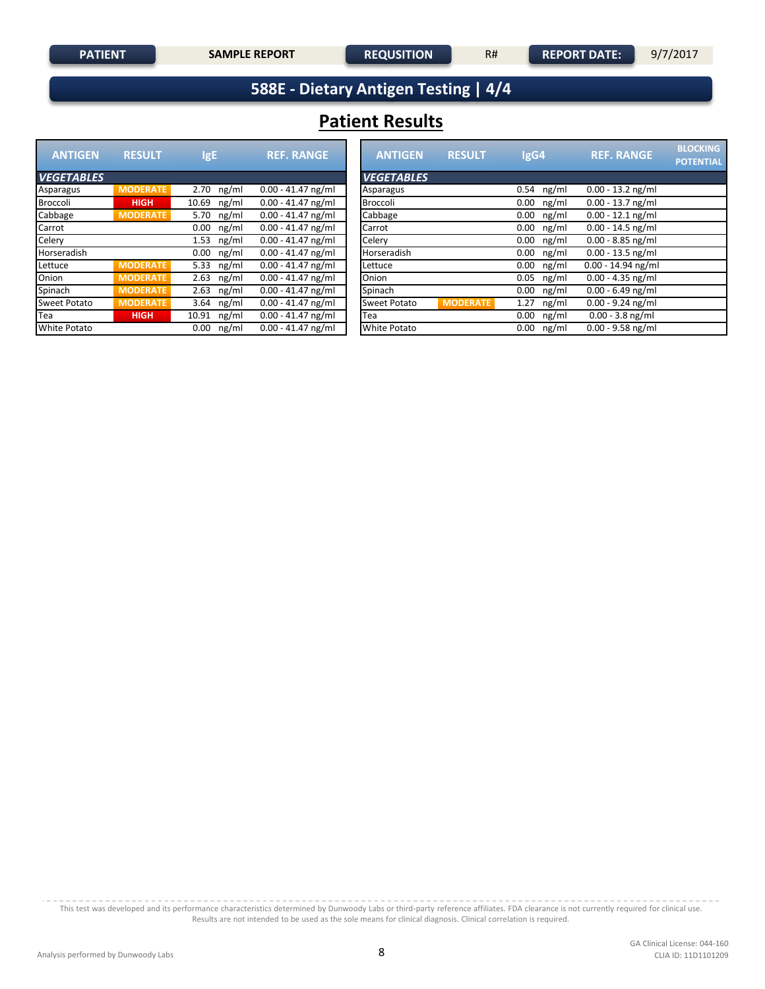**588E - Dietary Antigen Testing | 4/4**

## **Patient Results**

| <b>ANTIGEN</b>      | <b>RESULT</b>   | IgE            | <b>REF. RANGE</b>    | <b>ANTIGEN</b><br><b>RESULT</b><br>IgG4                 |
|---------------------|-----------------|----------------|----------------------|---------------------------------------------------------|
| <b>VEGETABLES</b>   |                 |                |                      | <b>VEGETABLES</b>                                       |
| Asparagus           | <b>MODERATE</b> | ng/ml<br>2.70  | $0.00 - 41.47$ ng/ml | ng/ml<br>Asparagus<br>0.54                              |
| <b>Broccoli</b>     | <b>HIGH</b>     | ng/ml<br>10.69 | $0.00 - 41.47$ ng/ml | <b>Broccoli</b><br>ng/ml<br>0.00                        |
| Cabbage             | <b>MODERATE</b> | ng/ml<br>5.70  | $0.00 - 41.47$ ng/ml | Cabbage<br>ng/ml<br>0.00                                |
| Carrot              |                 | ng/ml<br>0.00  | $0.00 - 41.47$ ng/ml | ng/ml<br>Carrot<br>0.00                                 |
| Celery              |                 | ng/ml<br>1.53  | $0.00 - 41.47$ ng/ml | Celery<br>ng/ml<br>0.00                                 |
| Horseradish         |                 | ng/ml<br>0.00  | $0.00 - 41.47$ ng/ml | Horseradish<br>ng/ml<br>0.00                            |
| Lettuce             | <b>MODERATE</b> | 5.33<br>ng/ml  | $0.00 - 41.47$ ng/ml | ng/ml<br>Lettuce<br>0.00                                |
| Onion               | <b>MODERATE</b> | 2.63<br>ng/ml  | $0.00 - 41.47$ ng/ml | Onion<br>ng/ml<br>0.05                                  |
| Spinach             | <b>MODERATE</b> | 2.63<br>ng/ml  | $0.00 - 41.47$ ng/ml | Spinach<br>ng/ml<br>0.00                                |
| <b>Sweet Potato</b> | <b>MODERATE</b> | ng/ml<br>3.64  | $0.00 - 41.47$ ng/ml | <b>MODERATE</b><br><b>Sweet Potato</b><br>ng/ml<br>1.27 |
| Tea                 | <b>HIGH</b>     | ng/ml<br>10.91 | $0.00 - 41.47$ ng/ml | ng/ml<br>Tea<br>0.00                                    |
| <b>White Potato</b> |                 | 0.00<br>ng/ml  | $0.00 - 41.47$ ng/ml | <b>White Potato</b><br>ng/ml<br>0.00                    |

| <b>RESULT</b>   | <b>IgE</b>     | <b>REF. RANGE</b>    | <b>ANTIGEN</b>      | <b>RESULT</b>   | IgG4          | <b>REF. RANGE</b>    | <b>BLOCKING</b><br><b>POTENTIAL</b> |
|-----------------|----------------|----------------------|---------------------|-----------------|---------------|----------------------|-------------------------------------|
|                 |                |                      | <b>VEGETABLES</b>   |                 |               |                      |                                     |
| <b>IODERATE</b> | ng/ml<br>2.70  | $0.00 - 41.47$ ng/ml | Asparagus           |                 | ng/ml<br>0.54 | $0.00 - 13.2$ ng/ml  |                                     |
| <b>HIGH</b>     | $10.69$ ng/ml  | $0.00 - 41.47$ ng/ml | Broccoli            |                 | 0.00<br>ng/ml | $0.00 - 13.7$ ng/ml  |                                     |
| <b>1ODERATE</b> | ng/ml<br>5.70  | $0.00 - 41.47$ ng/ml | Cabbage             |                 | ng/ml<br>0.00 | $0.00 - 12.1$ ng/ml  |                                     |
|                 | $0.00$ ng/ml   | $0.00 - 41.47$ ng/ml | Carrot              |                 | ng/ml<br>0.00 | $0.00 - 14.5$ ng/ml  |                                     |
|                 | $1.53$ ng/ml   | $0.00 - 41.47$ ng/ml | Celery              |                 | ng/ml<br>0.00 | $0.00 - 8.85$ ng/ml  |                                     |
|                 | $0.00$ ng/ml   | $0.00 - 41.47$ ng/ml | Horseradish         |                 | 0.00<br>ng/ml | $0.00 - 13.5$ ng/ml  |                                     |
| <b>1ODERATE</b> | 5.33 $ng/ml$   | $0.00 - 41.47$ ng/ml | Lettuce             |                 | ng/ml<br>0.00 | $0.00 - 14.94$ ng/ml |                                     |
| <b>1ODERATE</b> | $2.63$ ng/ml   | $0.00 - 41.47$ ng/ml | Onion               |                 | 0.05<br>ng/ml | $0.00 - 4.35$ ng/ml  |                                     |
| <b>IODERATE</b> | $2.63$ ng/ml   | $0.00 - 41.47$ ng/ml | Spinach             |                 | ng/ml<br>0.00 | $0.00 - 6.49$ ng/ml  |                                     |
| <b>IODERATE</b> | 3.64 $ng/ml$   | $0.00 - 41.47$ ng/ml | Sweet Potato        | <b>MODERATE</b> | ng/ml<br>1.27 | $0.00 - 9.24$ ng/ml  |                                     |
| <b>HIGH</b>     | ng/ml<br>10.91 | $0.00 - 41.47$ ng/ml | Tea                 |                 | 0.00<br>ng/ml | $0.00 - 3.8$ ng/ml   |                                     |
|                 | $0.00$ ng/ml   | $0.00 - 41.47$ ng/ml | <b>White Potato</b> |                 | 0.00<br>ng/ml | $0.00 - 9.58$ ng/ml  |                                     |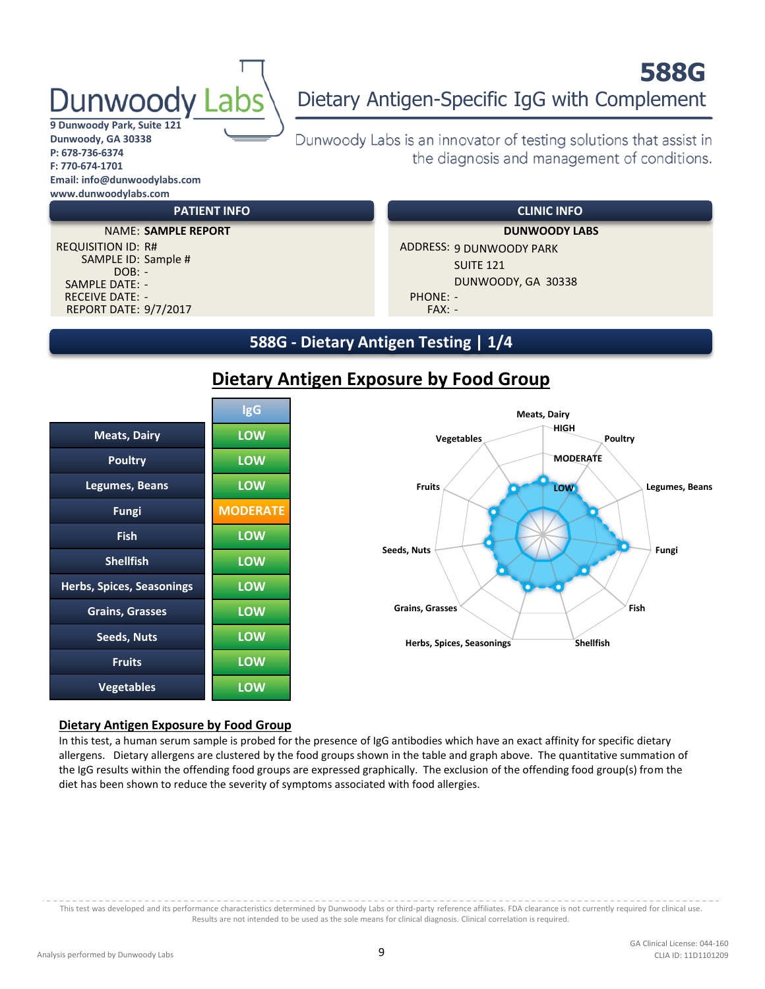# unwoodv

#### **9 Dunwoody Park, Suite 121 Dunwoody, GA 30338 P: 678-736-6374 F: 770-674-1701 Email: info@dunwoodylabs.com www.dunwoodylabs.com**

## **588G** Dietary Antigen-Specific IgG with Complement

Dunwoody Labs is an innovator of testing solutions that assist in the diagnosis and management of conditions.

REPORT DATE: 9/7/2017 FAX: -SAMPLE DATE: - RECEIVE DATE: - PHONE: - PHONE: -SAMPLE ID: Sample #  $DOB: -$ 

#### **PATIENT INFO CLINIC INFO**

REQUISITION ID: R# ADDRESS: 9 DUNWOODY PARK SUITE 121 DUNWOODY, GA 30338 NAME: **SAMPLE REPORT DUNWOODY LABS**

#### **588G - Dietary Antigen Testing | 1/4**



#### **Dietary Antigen Exposure by Food Group**



#### **Dietary Antigen Exposure by Food Group**

In this test, a human serum sample is probed for the presence of IgG antibodies which have an exact affinity for specific dietary allergens. Dietary allergens are clustered by the food groups shown in the table and graph above. The quantitative summation of the IgG results within the offending food groups are expressed graphically. The exclusion of the offending food group(s) from the diet has been shown to reduce the severity of symptoms associated with food allergies.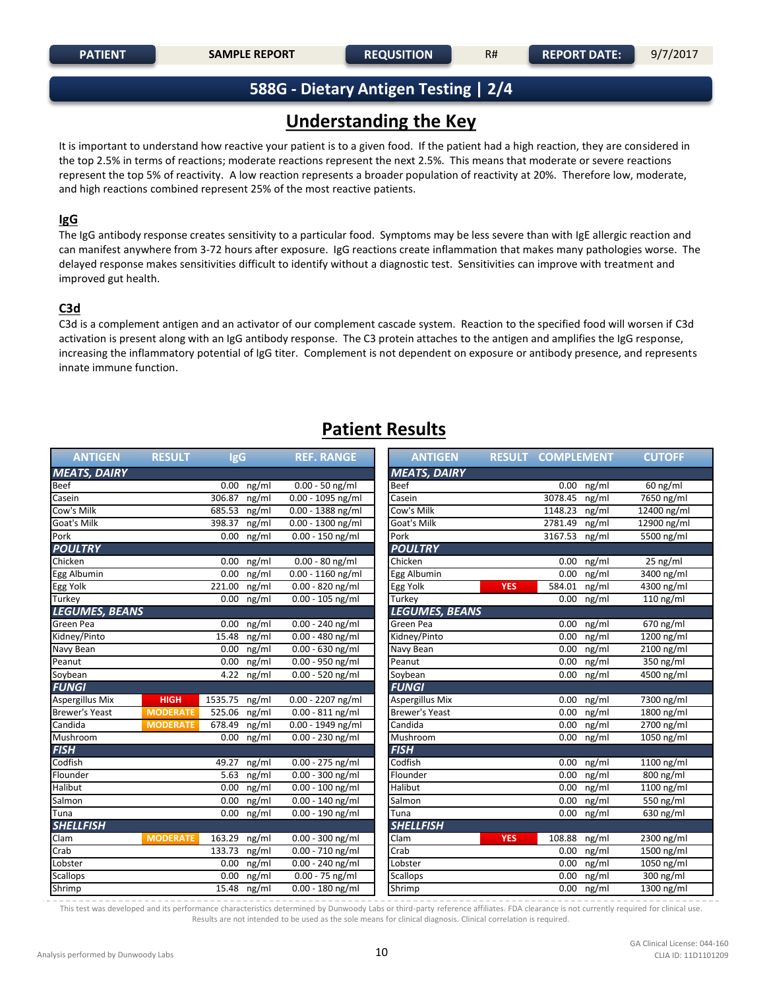#### **588G - Dietary Antigen Testing | 2/4**

## **Understanding the Key**

It is important to understand how reactive your patient is to a given food. If the patient had a high reaction, they are considered in the top 2.5% in terms of reactions; moderate reactions represent the next 2.5%. This means that moderate or severe reactions represent the top 5% of reactivity. A low reaction represents a broader population of reactivity at 20%. Therefore low, moderate, and high reactions combined represent 25% of the most reactive patients.

#### **IgG**

The IgG antibody response creates sensitivity to a particular food. Symptoms may be less severe than with IgE allergic reaction and can manifest anywhere from 3-72 hours after exposure. IgG reactions create inflammation that makes many pathologies worse. The delayed response makes sensitivities difficult to identify without a diagnostic test. Sensitivities can improve with treatment and improved gut health.

#### **C3d**

C3d is a complement antigen and an activator of our complement cascade system. Reaction to the specified food will worsen if C3d activation is present along with an IgG antibody response. The C3 protein attaches to the antigen and amplifies the IgG response, increasing the inflammatory potential of IgG titer. Complement is not dependent on exposure or antibody presence, and represents innate immune function.

#### **Patient Results**

| <b>ANTIGEN</b>         | <b>RESULT</b>   | <b>IgG</b>    |              | <b>REF. RANGE</b>   | <b>ANTIGEN</b>         | <b>RESULT COMPLEMENT</b> |         |              | <b>CUTOFF</b>         |
|------------------------|-----------------|---------------|--------------|---------------------|------------------------|--------------------------|---------|--------------|-----------------------|
| <b>MEATS, DAIRY</b>    |                 |               |              |                     | <b>MEATS, DAIRY</b>    |                          |         |              |                       |
| Beef                   |                 |               | $0.00$ ng/ml | $0.00 - 50$ ng/ml   | Beef                   |                          |         | $0.00$ ng/ml | $60$ ng/ml            |
| Casein                 |                 | 306.87        | ng/ml        | $0.00 - 1095$ ng/ml | Casein                 |                          | 3078.45 | ng/ml        | 7650 ng/ml            |
| Cow's Milk             |                 | 685.53        | ng/ml        | $0.00 - 1388$ ng/ml | Cow's Milk             |                          | 1148.23 | ng/ml        | 12400 ng/ml           |
| Goat's Milk            |                 | 398.37        | ng/ml        | $0.00 - 1300$ ng/ml | Goat's Milk            |                          | 2781.49 | ng/ml        | 12900 ng/ml           |
| Pork                   |                 | 0.00          | ng/ml        | $0.00 - 150$ ng/ml  | Pork                   |                          | 3167.53 | ng/ml        | 5500 ng/ml            |
| <b>POULTRY</b>         |                 |               |              |                     | <b>POULTRY</b>         |                          |         |              |                       |
| Chicken                |                 | 0.00          | ng/ml        | $0.00 - 80$ ng/ml   | Chicken                |                          | 0.00    | ng/ml        | $\overline{25}$ ng/ml |
| Egg Albumin            |                 | 0.00          | ng/ml        | $0.00 - 1160$ ng/ml | Egg Albumin            |                          | 0.00    | ng/ml        | 3400 ng/ml            |
| Egg Yolk               |                 | 221.00        | ng/ml        | 0.00 - 820 ng/ml    | Egg Yolk               | YES.                     | 584.01  | ng/ml        | 4300 ng/ml            |
| Turkey                 |                 | 0.00          | ng/ml        | $0.00 - 105$ ng/ml  | Turkey                 |                          | 0.00    | ng/ml        | $110$ ng/ml           |
| <b>LEGUMES, BEANS</b>  |                 |               |              |                     | <b>LEGUMES, BEANS</b>  |                          |         |              |                       |
| Green Pea              |                 | 0.00          | ng/ml        | $0.00 - 240$ ng/ml  | Green Pea              |                          | 0.00    | ng/ml        | 670 ng/ml             |
| Kidney/Pinto           |                 | 15.48         | ng/ml        | 0.00 - 480 ng/ml    | Kidney/Pinto           |                          | 0.00    | ng/ml        | 1200 ng/ml            |
| Navy Bean              |                 | 0.00          | ng/ml        | $0.00 - 630$ ng/ml  | Navy Bean              |                          | 0.00    | ng/ml        | 2100 ng/ml            |
| Peanut                 |                 | 0.00          | ng/ml        | $0.00 - 950$ ng/ml  | Peanut                 |                          | 0.00    | ng/ml        | 350 ng/ml             |
| Soybean                |                 | 4.22          | ng/ml        | 0.00 - 520 ng/ml    | Soybean                |                          | 0.00    | ng/ml        | 4500 ng/ml            |
| <b>FUNGI</b>           |                 |               |              |                     | <b>FUNGI</b>           |                          |         |              |                       |
| <b>Aspergillus Mix</b> | <b>HIGH</b>     | 1535.75 ng/ml |              | $0.00 - 2207$ ng/ml | <b>Aspergillus Mix</b> |                          |         | 0.00 ng/ml   | 7300 ng/ml            |
| <b>Brewer's Yeast</b>  | <b>MODERATE</b> | 525.06        | ng/ml        | $0.00 - 811$ ng/ml  | <b>Brewer's Yeast</b>  |                          | 0.00    | ng/ml        | 1800 ng/ml            |
| Candida                | <b>MODERATE</b> | 678.49        | ng/ml        | $0.00 - 1949$ ng/ml | Candida                |                          | 0.00    | ng/ml        | 2700 ng/ml            |
| Mushroom               |                 | 0.00          | ng/ml        | $0.00 - 230$ ng/ml  | Mushroom               |                          | 0.00    | ng/ml        | 1050 ng/ml            |
| <b>FISH</b>            |                 |               |              |                     | <b>FISH</b>            |                          |         |              |                       |
| Codfish                |                 | 49.27         | ng/ml        | $0.00 - 275$ ng/ml  | Codfish                |                          | 0.00    | ng/ml        | $1100$ ng/ml          |
| Flounder               |                 | 5.63          | ng/ml        | 0.00 - 300 ng/ml    | Flounder               |                          | 0.00    | ng/ml        | 800 ng/ml             |
| <b>Halibut</b>         |                 | 0.00          | ng/ml        | 0.00 - 100 ng/ml    | Halibut                |                          | 0.00    | ng/ml        | 1100 ng/ml            |
| Salmon                 |                 | 0.00          | ng/ml        | $0.00 - 140$ ng/ml  | Salmon                 |                          | 0.00    | ng/ml        | 550 ng/ml             |
| Tuna                   |                 |               | $0.00$ ng/ml | $0.00 - 190$ ng/ml  | Tuna                   |                          |         | $0.00$ ng/ml | 630 ng/ml             |
| <b>SHELLFISH</b>       |                 |               |              |                     | <b>SHELLFISH</b>       |                          |         |              |                       |
| Clam                   | <b>MODERATE</b> | 163.29        | ng/ml        | $0.00 - 300$ ng/ml  | Clam                   | <b>YES</b>               | 108.88  | ng/ml        | 2300 ng/ml            |
| Crab                   |                 | 133.73        | ng/ml        | $0.00 - 710$ ng/ml  | Crab                   |                          | 0.00    | ng/ml        | 1500 ng/ml            |
| Lobster                |                 | 0.00          | ng/ml        | $0.00 - 240$ ng/ml  | Lobster                |                          | 0.00    | ng/ml        | 1050 ng/ml            |
| <b>Scallops</b>        |                 | 0.00          | ng/ml        | $0.00 - 75$ ng/ml   | <b>Scallops</b>        |                          | 0.00    | ng/ml        | 300 ng/ml             |
| Shrimp                 |                 |               | 15.48 ng/ml  | 0.00 - 180 ng/ml    | Shrimp                 |                          |         | 0.00 ng/ml   | 1300 ng/ml            |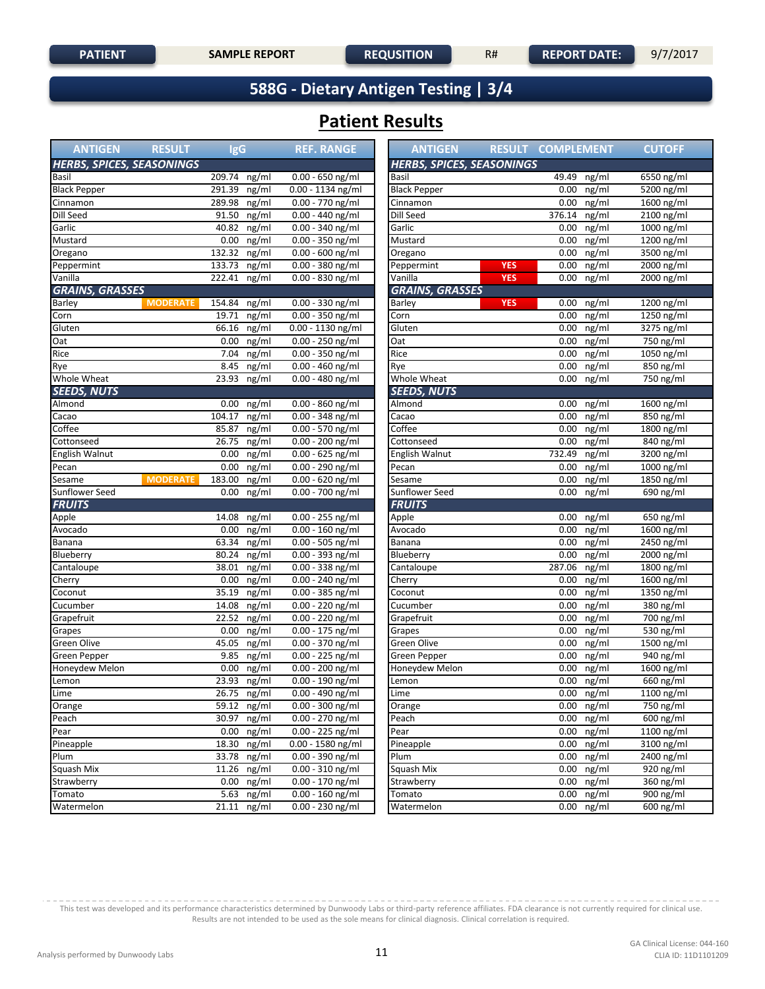### **588G - Dietary Antigen Testing | 3/4**

## **Patient Results**

| <b>ANTIGEN</b>                   | <b>RESULT</b>   | <b>IgG</b>    |       | <b>REF. RANGE</b>   | <b>ANTIGEN</b>                   | <b>RESULT COMPLEMENT</b> |          |              | <b>CUTOFF</b>          |
|----------------------------------|-----------------|---------------|-------|---------------------|----------------------------------|--------------------------|----------|--------------|------------------------|
| <b>HERBS, SPICES, SEASONINGS</b> |                 |               |       |                     | <b>HERBS, SPICES, SEASONINGS</b> |                          |          |              |                        |
| Basil                            |                 | 209.74        | ng/ml | $0.00 - 650$ ng/ml  | Basil                            |                          | 49.49    | ng/ml        | 6550 ng/ml             |
| <b>Black Pepper</b>              |                 | 291.39        | ng/ml | $0.00 - 1134$ ng/ml | <b>Black Pepper</b>              |                          | 0.00     | ng/ml        | 5200 ng/ml             |
| Cinnamon                         |                 | 289.98        | ng/ml | 0.00 - 770 ng/ml    | Cinnamon                         |                          | $0.00\,$ | ng/ml        | 1600 ng/ml             |
| Dill Seed                        |                 | 91.50         | ng/ml | 0.00 - 440 ng/ml    | Dill Seed                        |                          | 376.14   | ng/ml        | $2100$ ng/ml           |
| Garlic                           |                 | 40.82         | ng/ml | 0.00 - 340 ng/ml    | Garlic                           |                          | 0.00     | ng/ml        | 1000 ng/ml             |
| Mustard                          |                 | 0.00          | ng/ml | $0.00 - 350$ ng/ml  | Mustard                          |                          | 0.00     | ng/ml        | 1200 ng/ml             |
| Oregano                          |                 | 132.32        | ng/ml | 0.00 - 600 ng/ml    | Oregano                          |                          | 0.00     | ng/ml        | 3500 ng/ml             |
| Peppermint                       |                 | 133.73        | ng/ml | 0.00 - 380 ng/ml    | Peppermint                       | <b>YES</b>               | 0.00     | ng/ml        | 2000 ng/ml             |
| Vanilla                          |                 | 222.41 ng/ml  |       | 0.00 - 830 ng/ml    | Vanilla                          | <b>YES</b>               | 0.00     | ng/ml        | 2000 ng/ml             |
| <b>GRAINS, GRASSES</b>           |                 |               |       |                     | <b>GRAINS, GRASSES</b>           |                          |          |              |                        |
| Barley                           | <b>MODERATE</b> | 154.84        | ng/ml | 0.00 - 330 ng/ml    | Barley                           | <b>YES</b>               | 0.00     | ng/ml        | 1200 ng/ml             |
| Corn                             |                 | 19.71         | ng/ml | $0.00 - 350$ ng/ml  | Corn                             |                          | 0.00     | ng/ml        | 1250 ng/ml             |
| Gluten                           |                 | 66.16         | ng/ml | 0.00 - 1130 ng/ml   | Gluten                           |                          | 0.00     | ng/ml        | 3275 ng/ml             |
| Oat                              |                 | 0.00          | ng/ml | $0.00 - 250$ ng/ml  | Oat                              |                          | 0.00     | ng/ml        | $750$ ng/ml            |
| Rice                             |                 | 7.04          | ng/ml | $0.00 - 350$ ng/ml  | Rice                             |                          | 0.00     | ng/ml        | 1050 ng/ml             |
| Rye                              |                 | 8.45          | ng/ml | 0.00 - 460 ng/ml    | Rye                              |                          | 0.00     | ng/ml        | 850 ng/ml              |
| Whole Wheat                      |                 | 23.93         | ng/ml | $0.00 - 480$ ng/ml  | Whole Wheat                      |                          | 0.00     | ng/ml        | $\overline{750}$ ng/ml |
| <b>SEEDS, NUTS</b>               |                 |               |       |                     | <b>SEEDS, NUTS</b>               |                          |          |              |                        |
| Almond                           |                 | 0.00          | ng/ml | 0.00 - 860 ng/ml    | Almond                           |                          | 0.00     | ng/ml        | 1600 ng/ml             |
| Cacao                            |                 | 104.17        | ng/ml | $0.00 - 348$ ng/ml  | Cacao                            |                          | 0.00     | ng/ml        | 850 ng/ml              |
| Coffee                           |                 | 85.87         | ng/ml | 0.00 - 570 ng/ml    | Coffee                           |                          | 0.00     | ng/ml        | 1800 ng/ml             |
| Cottonseed                       |                 | 26.75         | ng/ml | $0.00 - 200$ ng/ml  | Cottonseed                       |                          | 0.00     | ng/ml        | $840$ ng/ml            |
| English Walnut                   |                 | 0.00          | ng/ml | $0.00 - 625$ ng/ml  | English Walnut                   |                          | 732.49   | ng/ml        | 3200 ng/ml             |
| Pecan                            |                 | 0.00          | ng/ml | 0.00 - 290 ng/ml    | Pecan                            |                          | 0.00     | ng/ml        | 1000 ng/ml             |
| Sesame                           | <b>MODERATE</b> | 183.00        | ng/ml | 0.00 - 620 ng/ml    | Sesame                           |                          | 0.00     | ng/ml        | 1850 ng/ml             |
| <b>Sunflower Seed</b>            |                 | 0.00          | ng/ml | $0.00 - 700$ ng/ml  | <b>Sunflower Seed</b>            |                          | 0.00     | ng/ml        | 690 ng/ml              |
| <b>FRUITS</b>                    |                 |               |       |                     | <b>FRUITS</b>                    |                          |          |              |                        |
| Apple                            |                 | 14.08         | ng/ml | $0.00 - 255$ ng/ml  | Apple                            |                          | $0.00\,$ | ng/ml        | 650 ng/ml              |
| Avocado                          |                 | 0.00          | ng/ml | $0.00 - 160$ ng/ml  | Avocado                          |                          | 0.00     | ng/ml        | 1600 ng/ml             |
| Banana                           |                 | 63.34         | ng/ml | 0.00 - 505 ng/ml    | Banana                           |                          | 0.00     | ng/ml        | 2450 ng/ml             |
| Blueberry                        |                 | 80.24         | ng/ml | $0.00 - 393$ ng/ml  | Blueberry                        |                          | 0.00     | ng/ml        | 2000 ng/ml             |
| Cantaloupe                       |                 | 38.01         | ng/ml | $0.00 - 338$ ng/ml  | Cantaloupe                       |                          | 287.06   | ng/ml        | 1800 ng/ml             |
| Cherry                           |                 | 0.00          | ng/ml | 0.00 - 240 ng/ml    | Cherry                           |                          | 0.00     | ng/ml        | 1600 ng/ml             |
| Coconut                          |                 | 35.19         | ng/ml | 0.00 - 385 ng/ml    | Coconut                          |                          | 0.00     | ng/ml        | 1350 ng/ml             |
| Cucumber                         |                 | 14.08         | ng/ml | $0.00 - 220$ ng/ml  | Cucumber                         |                          | 0.00     | ng/ml        | 380 ng/ml              |
| Grapefruit                       |                 | 22.52         | ng/ml | 0.00 - 220 ng/ml    | Grapefruit                       |                          | 0.00     | ng/ml        | 700 ng/ml              |
| Grapes                           |                 | 0.00          | ng/ml | $0.00 - 175$ ng/ml  | Grapes                           |                          | 0.00     | ng/ml        | 530 ng/ml              |
| Green Olive                      |                 | 45.05         | ng/ml | 0.00 - 370 ng/ml    | Green Olive                      |                          | 0.00     | ng/ml        | 1500 ng/ml             |
| Green Pepper                     |                 | 9.85          | ng/ml | 0.00 - 225 ng/ml    | Green Pepper                     |                          | 0.00     | ng/ml        | 940 ng/ml              |
| Honeydew Melon                   |                 | 0.00          | ng/ml | 0.00 - 200 ng/ml    | Honeydew Melon                   |                          | 0.00     | ng/ml        | 1600 ng/ml             |
| Lemon                            |                 | 23.93         | ng/ml | $0.00 - 190$ ng/ml  | Lemon                            |                          | 0.00     | ng/ml        | 660 ng/ml              |
| Lime                             |                 | 26.75 ng/ml   |       | $0.00 - 490$ ng/ml  | Lime                             |                          |          | $0.00$ ng/ml | 1100 ng/ml             |
| Orange                           |                 | 59.12 ng/ml   |       | $0.00 - 300$ ng/ml  | Orange                           |                          |          | $0.00$ ng/ml | 750 ng/ml              |
| Peach                            |                 | $30.97$ ng/ml |       | 0.00 - 270 ng/ml    | Peach                            |                          |          | $0.00$ ng/ml | 600 ng/ml              |
| Pear                             |                 | $0.00$ ng/ml  |       | 0.00 - 225 ng/ml    | Pear                             |                          |          | $0.00$ ng/ml | 1100 ng/ml             |
| Pineapple                        |                 | 18.30 ng/ml   |       | $0.00 - 1580$ ng/ml | Pineapple                        |                          |          | $0.00$ ng/ml | 3100 ng/ml             |
| Plum                             |                 | 33.78 ng/ml   |       | $0.00 - 390$ ng/ml  | Plum                             |                          |          | $0.00$ ng/ml | 2400 ng/ml             |
| Squash Mix                       |                 | 11.26 ng/ml   |       | $0.00 - 310$ ng/ml  | Squash Mix                       |                          |          | $0.00$ ng/ml | 920 ng/ml              |
| Strawberry                       |                 | $0.00$ ng/ml  |       | $0.00 - 170$ ng/ml  | Strawberry                       |                          |          | $0.00$ ng/ml | $360$ ng/ml            |
| Tomato                           |                 | 5.63 $ng/ml$  |       | $0.00 - 160$ ng/ml  | Tomato                           |                          |          | $0.00$ ng/ml | 900 ng/ml              |
| Watermelon                       |                 | 21.11 ng/ml   |       | 0.00 - 230 ng/ml    | Watermelon                       |                          |          | $0.00$ ng/ml | 600 ng/ml              |